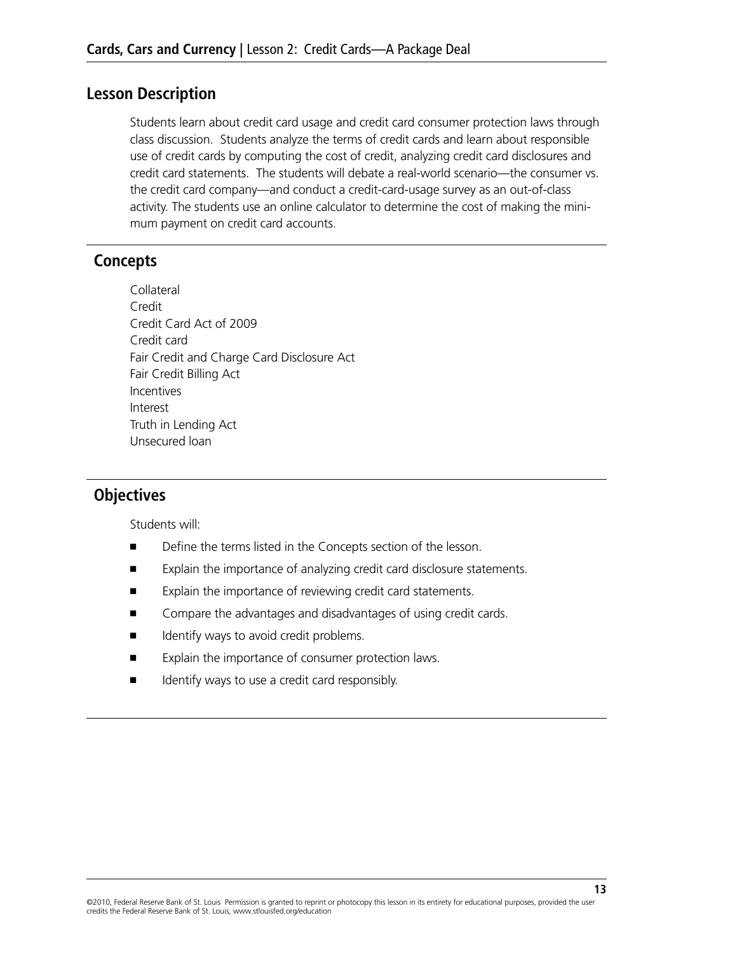### **Lesson Description**

Students learn about credit card usage and credit card consumer protection laws through class discussion. Students analyze the terms of credit cards and learn about responsible use of credit cards by computing the cost of credit, analyzing credit card disclosures and credit card statements. The students will debate a real-world scenario—the consumer vs. the credit card company—and conduct a credit-card-usage survey as an out-of-class activity. The students use an online calculator to determine the cost of making the minimum payment on credit card accounts.

## **Concepts**

Collateral Credit Credit Card Act of 2009 Credit card Fair Credit and Charge Card Disclosure Act Fair Credit Billing Act **Incentives** Interest Truth in Lending Act Unsecured loan

## **Objectives**

Students will:

- Define the terms listed in the Concepts section of the lesson.
- Explain the importance of analyzing credit card disclosure statements.
- Explain the importance of reviewing credit card statements.
- Compare the advantages and disadvantages of using credit cards.
- Identify ways to avoid credit problems.
- Explain the importance of consumer protection laws.
- Identify ways to use a credit card responsibly.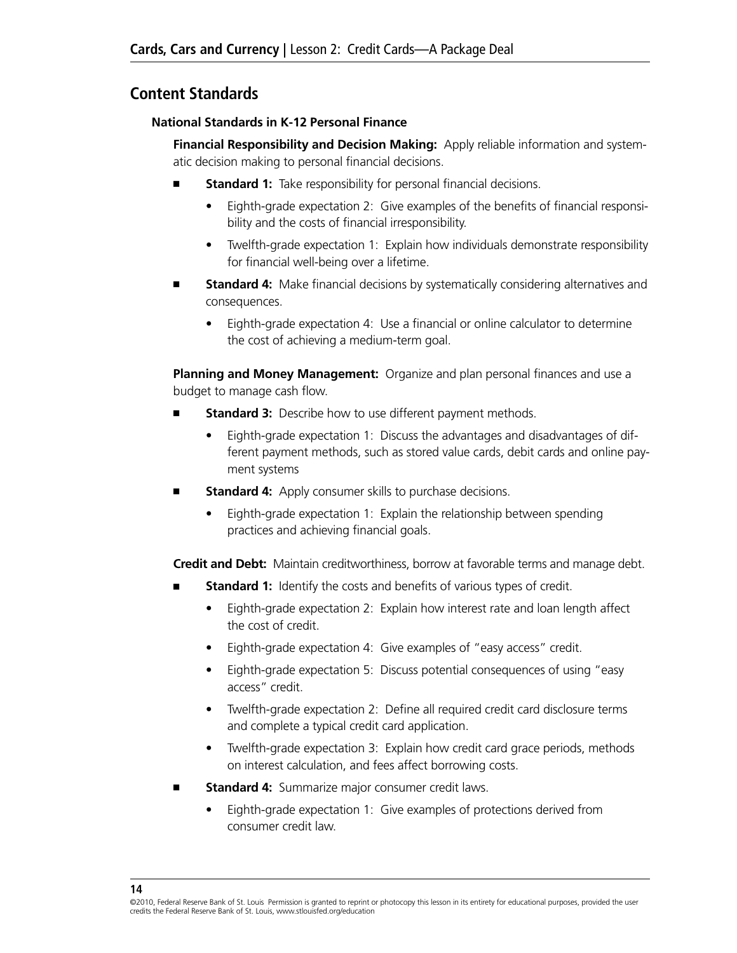## **Content Standards**

#### **National Standards in K-12 Personal Finance**

**Financial Responsibility and Decision Making:** Apply reliable information and systematic decision making to personal financial decisions.

- **Standard 1:** Take responsibility for personal financial decisions.
	- Eighth-grade expectation 2: Give examples of the benefits of financial responsibility and the costs of financial irresponsibility.
	- Twelfth-grade expectation 1: Explain how individuals demonstrate responsibility for financial well-being over a lifetime.
- **Standard 4:** Make financial decisions by systematically considering alternatives and consequences.
	- Eighth-grade expectation 4: Use a financial or online calculator to determine the cost of achieving a medium-term goal.

**Planning and Money Management:** Organize and plan personal finances and use a budget to manage cash flow.

- **Standard 3:** Describe how to use different payment methods.
	- Eighth-grade expectation 1: Discuss the advantages and disadvantages of different payment methods, such as stored value cards, debit cards and online payment systems
- **Standard 4:** Apply consumer skills to purchase decisions.
	- Eighth-grade expectation 1: Explain the relationship between spending practices and achieving financial goals.

**Credit and Debt:** Maintain creditworthiness, borrow at favorable terms and manage debt.

- **Standard 1:** Identify the costs and benefits of various types of credit.
	- Eighth-grade expectation 2: Explain how interest rate and loan length affect the cost of credit.
	- Eighth-grade expectation 4: Give examples of "easy access" credit.
	- Eighth-grade expectation 5: Discuss potential consequences of using "easy access" credit.
	- Twelfth-grade expectation 2: Define all required credit card disclosure terms and complete a typical credit card application.
	- Twelfth-grade expectation 3: Explain how credit card grace periods, methods on interest calculation, and fees affect borrowing costs.
- Standard 4: Summarize major consumer credit laws.
	- Eighth-grade expectation 1: Give examples of protections derived from consumer credit law.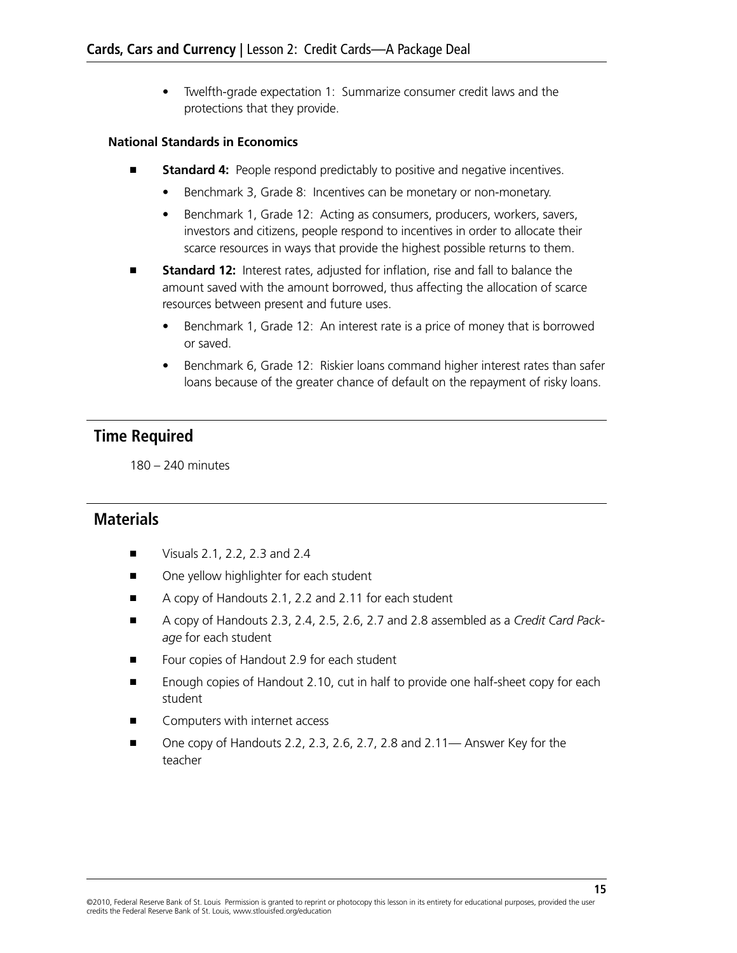• Twelfth-grade expectation 1: Summarize consumer credit laws and the protections that they provide.

#### **National Standards in Economics**

- **Standard 4:** People respond predictably to positive and negative incentives.
	- Benchmark 3, Grade 8: Incentives can be monetary or non-monetary.
	- Benchmark 1, Grade 12: Acting as consumers, producers, workers, savers, investors and citizens, people respond to incentives in order to allocate their scarce resources in ways that provide the highest possible returns to them.
- **Standard 12:** Interest rates, adjusted for inflation, rise and fall to balance the amount saved with the amount borrowed, thus affecting the allocation of scarce resources between present and future uses.
	- Benchmark 1, Grade 12: An interest rate is a price of money that is borrowed or saved.
	- Benchmark 6, Grade 12: Riskier loans command higher interest rates than safer loans because of the greater chance of default on the repayment of risky loans.

## **Time Required**

180 – 240 minutes

## **Materials**

- Visuals 2.1, 2.2, 2.3 and 2.4
- One yellow highlighter for each student
- A copy of Handouts 2.1, 2.2 and 2.11 for each student
- A copy of Handouts 2.3, 2.4, 2.5, 2.6, 2.7 and 2.8 assembled as a *Credit Card Package* for each student
- Four copies of Handout 2.9 for each student
- Enough copies of Handout 2.10, cut in half to provide one half-sheet copy for each student
- Computers with internet access
- One copy of Handouts 2.2, 2.3, 2.6, 2.7, 2.8 and 2.11— Answer Key for the teacher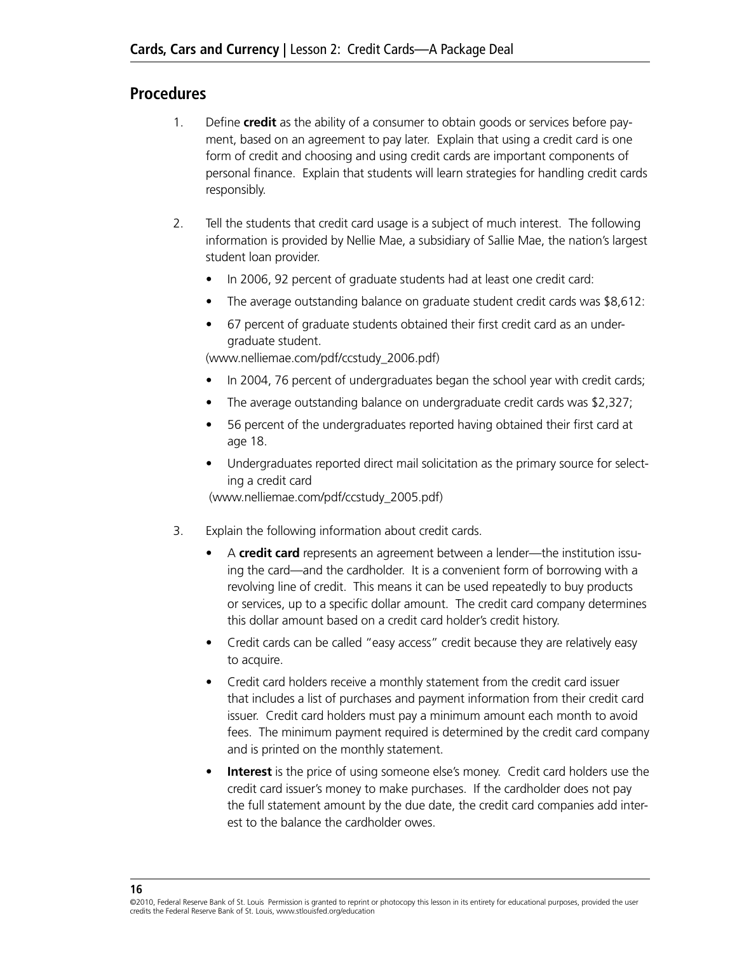## **Procedures**

- 1. Define **credit** as the ability of a consumer to obtain goods or services before payment, based on an agreement to pay later. Explain that using a credit card is one form of credit and choosing and using credit cards are important components of personal finance. Explain that students will learn strategies for handling credit cards responsibly.
- 2. Tell the students that credit card usage is a subject of much interest. The following information is provided by Nellie Mae, a subsidiary of Sallie Mae, the nation's largest student loan provider.
	- In 2006, 92 percent of graduate students had at least one credit card:
	- The average outstanding balance on graduate student credit cards was \$8,612:
	- 67 percent of graduate students obtained their first credit card as an undergraduate student.

(www.nelliemae.com/pdf/ccstudy\_2006.pdf)

- In 2004, 76 percent of undergraduates began the school year with credit cards;
- The average outstanding balance on undergraduate credit cards was \$2,327;
- 56 percent of the undergraduates reported having obtained their first card at age 18.
- Undergraduates reported direct mail solicitation as the primary source for selecting a credit card

(www.nelliemae.com/pdf/ccstudy\_2005.pdf)

- 3. Explain the following information about credit cards.
	- • A **credit card** represents an agreement between a lender—the institution issuing the card—and the cardholder. It is a convenient form of borrowing with a revolving line of credit. This means it can be used repeatedly to buy products or services, up to a specific dollar amount. The credit card company determines this dollar amount based on a credit card holder's credit history.
	- Credit cards can be called "easy access" credit because they are relatively easy to acquire.
	- Credit card holders receive a monthly statement from the credit card issuer that includes a list of purchases and payment information from their credit card issuer. Credit card holders must pay a minimum amount each month to avoid fees. The minimum payment required is determined by the credit card company and is printed on the monthly statement.
	- **Interest** is the price of using someone else's money. Credit card holders use the credit card issuer's money to make purchases. If the cardholder does not pay the full statement amount by the due date, the credit card companies add interest to the balance the cardholder owes.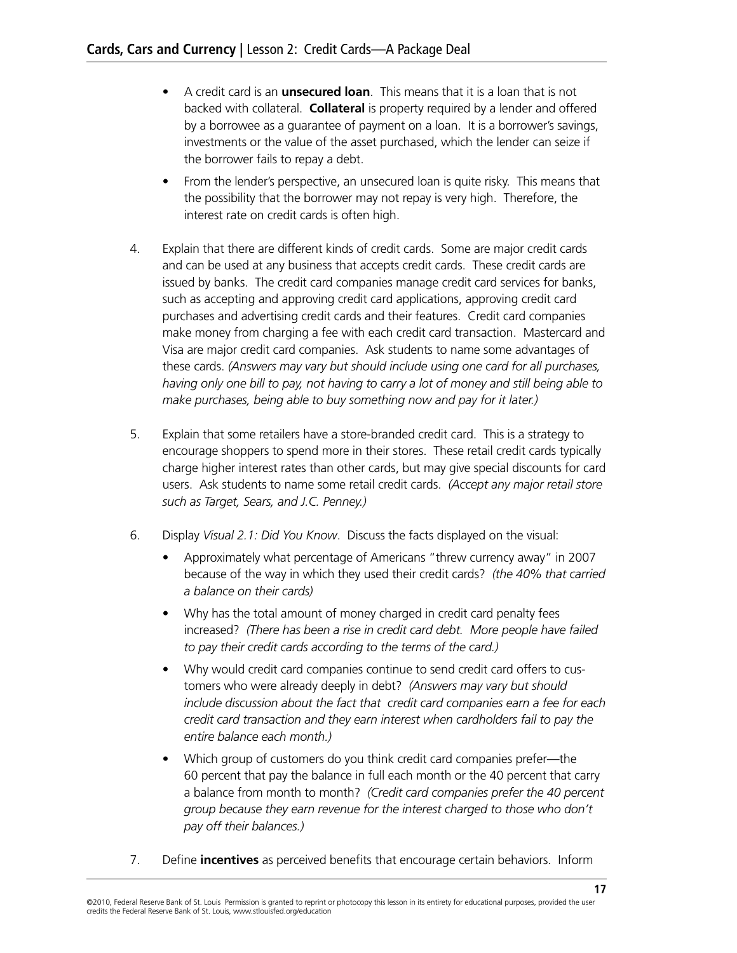- A credit card is an **unsecured loan**. This means that it is a loan that is not backed with collateral. **Collateral** is property required by a lender and offered by a borrowee as a guarantee of payment on a loan. It is a borrower's savings, investments or the value of the asset purchased, which the lender can seize if the borrower fails to repay a debt.
- From the lender's perspective, an unsecured loan is quite risky. This means that the possibility that the borrower may not repay is very high. Therefore, the interest rate on credit cards is often high.
- 4. Explain that there are different kinds of credit cards. Some are major credit cards and can be used at any business that accepts credit cards. These credit cards are issued by banks. The credit card companies manage credit card services for banks, such as accepting and approving credit card applications, approving credit card purchases and advertising credit cards and their features. Credit card companies make money from charging a fee with each credit card transaction. Mastercard and Visa are major credit card companies. Ask students to name some advantages of these cards. *(Answers may vary but should include using one card for all purchases, having only one bill to pay, not having to carry a lot of money and still being able to make purchases, being able to buy something now and pay for it later.)*
- 5. Explain that some retailers have a store-branded credit card. This is a strategy to encourage shoppers to spend more in their stores. These retail credit cards typically charge higher interest rates than other cards, but may give special discounts for card users. Ask students to name some retail credit cards. *(Accept any major retail store such as Target, Sears, and J.C. Penney.)*
- 6. Display *Visual 2.1: Did You Know*. Discuss the facts displayed on the visual:
	- Approximately what percentage of Americans "threw currency away" in 2007 because of the way in which they used their credit cards? *(the 40% that carried a balance on their cards)*
	- Why has the total amount of money charged in credit card penalty fees increased? *(There has been a rise in credit card debt. More people have failed to pay their credit cards according to the terms of the card.)*
	- Why would credit card companies continue to send credit card offers to customers who were already deeply in debt? *(Answers may vary but should include discussion about the fact that credit card companies earn a fee for each credit card transaction and they earn interest when cardholders fail to pay the entire balance each month.)*
	- Which group of customers do you think credit card companies prefer—the 60 percent that pay the balance in full each month or the 40 percent that carry a balance from month to month? *(Credit card companies prefer the 40 percent group because they earn revenue for the interest charged to those who don't pay off their balances.)*
- 7. Define **incentives** as perceived benefits that encourage certain behaviors. Inform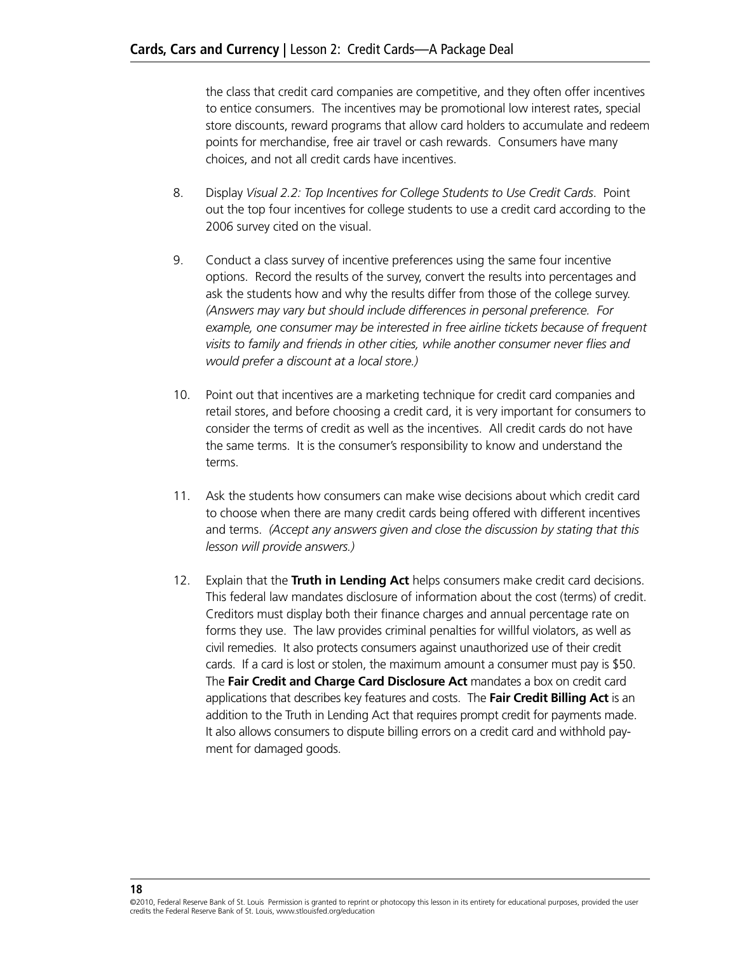the class that credit card companies are competitive, and they often offer incentives to entice consumers. The incentives may be promotional low interest rates, special store discounts, reward programs that allow card holders to accumulate and redeem points for merchandise, free air travel or cash rewards. Consumers have many choices, and not all credit cards have incentives.

- 8. Display *Visual 2.2: Top Incentives for College Students to Use Credit Cards*. Point out the top four incentives for college students to use a credit card according to the 2006 survey cited on the visual.
- 9. Conduct a class survey of incentive preferences using the same four incentive options. Record the results of the survey, convert the results into percentages and ask the students how and why the results differ from those of the college survey. *(Answers may vary but should include differences in personal preference. For*  example, one consumer may be interested in free airline tickets because of frequent *visits to family and friends in other cities, while another consumer never flies and would prefer a discount at a local store.)*
- 10. Point out that incentives are a marketing technique for credit card companies and retail stores, and before choosing a credit card, it is very important for consumers to consider the terms of credit as well as the incentives. All credit cards do not have the same terms. It is the consumer's responsibility to know and understand the terms.
- 11. Ask the students how consumers can make wise decisions about which credit card to choose when there are many credit cards being offered with different incentives and terms. *(Accept any answers given and close the discussion by stating that this lesson will provide answers.)*
- 12. Explain that the **Truth in Lending Act** helps consumers make credit card decisions. This federal law mandates disclosure of information about the cost (terms) of credit. Creditors must display both their finance charges and annual percentage rate on forms they use. The law provides criminal penalties for willful violators, as well as civil remedies. It also protects consumers against unauthorized use of their credit cards. If a card is lost or stolen, the maximum amount a consumer must pay is \$50. The **Fair Credit and Charge Card Disclosure Act** mandates a box on credit card applications that describes key features and costs. The **Fair Credit Billing Act** is an addition to the Truth in Lending Act that requires prompt credit for payments made. It also allows consumers to dispute billing errors on a credit card and withhold payment for damaged goods.

<sup>©2010,</sup> Federal Reserve Bank of St. Louis Permission is granted to reprint or photocopy this lesson in its entirety for educational purposes, provided the user credits the Federal Reserve Bank of St. Louis, www.stlouisfed.org/education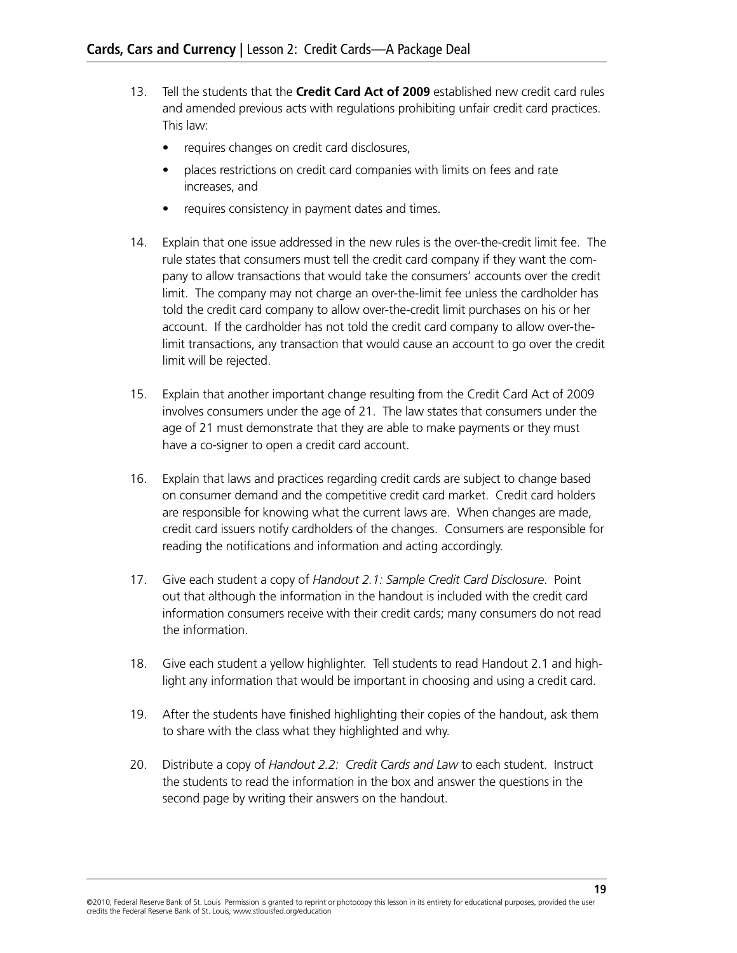- 13. Tell the students that the **Credit Card Act of 2009** established new credit card rules and amended previous acts with regulations prohibiting unfair credit card practices. This law:
	- requires changes on credit card disclosures,
	- places restrictions on credit card companies with limits on fees and rate increases, and
	- requires consistency in payment dates and times.
- 14. Explain that one issue addressed in the new rules is the over-the-credit limit fee. The rule states that consumers must tell the credit card company if they want the company to allow transactions that would take the consumers' accounts over the credit limit. The company may not charge an over-the-limit fee unless the cardholder has told the credit card company to allow over-the-credit limit purchases on his or her account. If the cardholder has not told the credit card company to allow over-thelimit transactions, any transaction that would cause an account to go over the credit limit will be rejected.
- 15. Explain that another important change resulting from the Credit Card Act of 2009 involves consumers under the age of 21. The law states that consumers under the age of 21 must demonstrate that they are able to make payments or they must have a co-signer to open a credit card account.
- 16. Explain that laws and practices regarding credit cards are subject to change based on consumer demand and the competitive credit card market. Credit card holders are responsible for knowing what the current laws are. When changes are made, credit card issuers notify cardholders of the changes. Consumers are responsible for reading the notifications and information and acting accordingly.
- 17. Give each student a copy of *Handout 2.1: Sample Credit Card Disclosure*. Point out that although the information in the handout is included with the credit card information consumers receive with their credit cards; many consumers do not read the information.
- 18. Give each student a yellow highlighter. Tell students to read Handout 2.1 and highlight any information that would be important in choosing and using a credit card.
- 19. After the students have finished highlighting their copies of the handout, ask them to share with the class what they highlighted and why.
- 20. Distribute a copy of *Handout 2.2: Credit Cards and Law* to each student. Instruct the students to read the information in the box and answer the questions in the second page by writing their answers on the handout.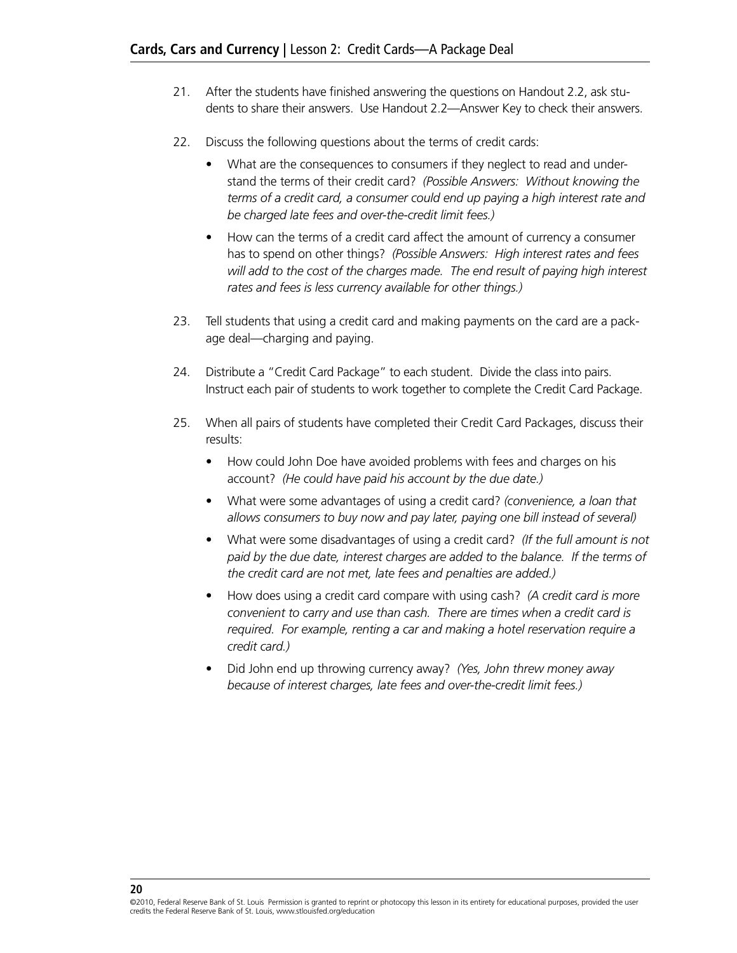- 21. After the students have finished answering the questions on Handout 2.2, ask students to share their answers. Use Handout 2.2—Answer Key to check their answers.
- 22. Discuss the following questions about the terms of credit cards:
	- What are the consequences to consumers if they neglect to read and understand the terms of their credit card? *(Possible Answers: Without knowing the terms of a credit card, a consumer could end up paying a high interest rate and be charged late fees and over-the-credit limit fees.)*
	- How can the terms of a credit card affect the amount of currency a consumer has to spend on other things? *(Possible Answers: High interest rates and fees will add to the cost of the charges made. The end result of paying high interest rates and fees is less currency available for other things.)*
- 23. Tell students that using a credit card and making payments on the card are a package deal—charging and paying.
- 24. Distribute a "Credit Card Package" to each student. Divide the class into pairs. Instruct each pair of students to work together to complete the Credit Card Package.
- 25. When all pairs of students have completed their Credit Card Packages, discuss their results:
	- How could John Doe have avoided problems with fees and charges on his account? *(He could have paid his account by the due date.)*
	- • What were some advantages of using a credit card? *(convenience, a loan that allows consumers to buy now and pay later, paying one bill instead of several)*
	- • What were some disadvantages of using a credit card? *(If the full amount is not paid by the due date, interest charges are added to the balance. If the terms of the credit card are not met, late fees and penalties are added.)*
	- • How does using a credit card compare with using cash? *(A credit card is more convenient to carry and use than cash. There are times when a credit card is required. For example, renting a car and making a hotel reservation require a credit card.)*
	- • Did John end up throwing currency away? *(Yes, John threw money away because of interest charges, late fees and over-the-credit limit fees.)*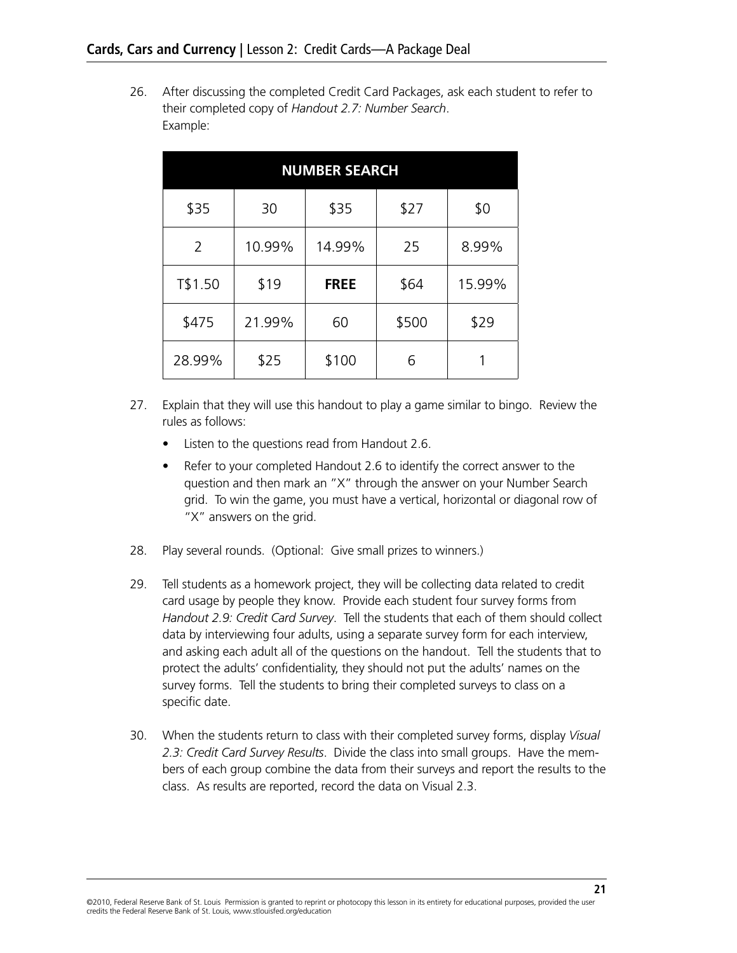26. After discussing the completed Credit Card Packages, ask each student to refer to their completed copy of *Handout 2.7: Number Search*. Example:

| <b>NUMBER SEARCH</b> |        |             |       |        |  |  |  |
|----------------------|--------|-------------|-------|--------|--|--|--|
| \$35                 | 30     | \$35        | \$27  | \$0    |  |  |  |
| $\overline{2}$       | 10.99% | 14.99%      | 25    | 8.99%  |  |  |  |
| T\$1.50              | \$19   | <b>FREE</b> | \$64  | 15.99% |  |  |  |
| \$475                | 21.99% | 60          | \$500 | \$29   |  |  |  |
| 28.99%               | \$25   | \$100       | 6     |        |  |  |  |

- 27. Explain that they will use this handout to play a game similar to bingo. Review the rules as follows:
	- Listen to the questions read from Handout 2.6.
	- Refer to your completed Handout 2.6 to identify the correct answer to the question and then mark an "X" through the answer on your Number Search grid. To win the game, you must have a vertical, horizontal or diagonal row of "X" answers on the grid.
- 28. Play several rounds. (Optional: Give small prizes to winners.)
- 29. Tell students as a homework project, they will be collecting data related to credit card usage by people they know. Provide each student four survey forms from *Handout 2.9: Credit Card Survey*. Tell the students that each of them should collect data by interviewing four adults, using a separate survey form for each interview, and asking each adult all of the questions on the handout. Tell the students that to protect the adults' confidentiality, they should not put the adults' names on the survey forms. Tell the students to bring their completed surveys to class on a specific date.
- 30. When the students return to class with their completed survey forms, display *Visual 2.3: Credit Card Survey Results*. Divide the class into small groups. Have the members of each group combine the data from their surveys and report the results to the class. As results are reported, record the data on Visual 2.3.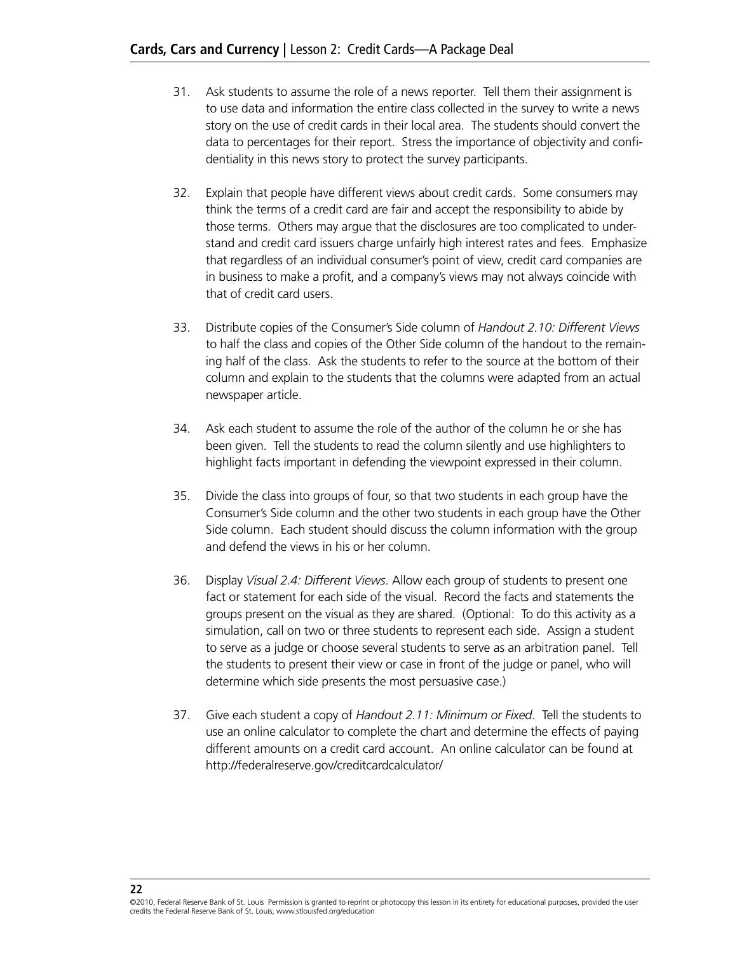- 31. Ask students to assume the role of a news reporter. Tell them their assignment is to use data and information the entire class collected in the survey to write a news story on the use of credit cards in their local area. The students should convert the data to percentages for their report. Stress the importance of objectivity and confidentiality in this news story to protect the survey participants.
- 32. Explain that people have different views about credit cards. Some consumers may think the terms of a credit card are fair and accept the responsibility to abide by those terms. Others may argue that the disclosures are too complicated to understand and credit card issuers charge unfairly high interest rates and fees. Emphasize that regardless of an individual consumer's point of view, credit card companies are in business to make a profit, and a company's views may not always coincide with that of credit card users.
- 33. Distribute copies of the Consumer's Side column of *Handout 2.10: Different Views* to half the class and copies of the Other Side column of the handout to the remaining half of the class. Ask the students to refer to the source at the bottom of their column and explain to the students that the columns were adapted from an actual newspaper article.
- 34. Ask each student to assume the role of the author of the column he or she has been given. Tell the students to read the column silently and use highlighters to highlight facts important in defending the viewpoint expressed in their column.
- 35. Divide the class into groups of four, so that two students in each group have the Consumer's Side column and the other two students in each group have the Other Side column. Each student should discuss the column information with the group and defend the views in his or her column.
- 36. Display *Visual 2.4: Different Views*. Allow each group of students to present one fact or statement for each side of the visual. Record the facts and statements the groups present on the visual as they are shared. (Optional: To do this activity as a simulation, call on two or three students to represent each side. Assign a student to serve as a judge or choose several students to serve as an arbitration panel. Tell the students to present their view or case in front of the judge or panel, who will determine which side presents the most persuasive case.)
- 37. Give each student a copy of *Handout 2.11: Minimum or Fixed*. Tell the students to use an online calculator to complete the chart and determine the effects of paying different amounts on a credit card account. An online calculator can be found at http://federalreserve.gov/creditcardcalculator/

<sup>©2010,</sup> Federal Reserve Bank of St. Louis Permission is granted to reprint or photocopy this lesson in its entirety for educational purposes, provided the user credits the Federal Reserve Bank of St. Louis, www.stlouisfed.org/education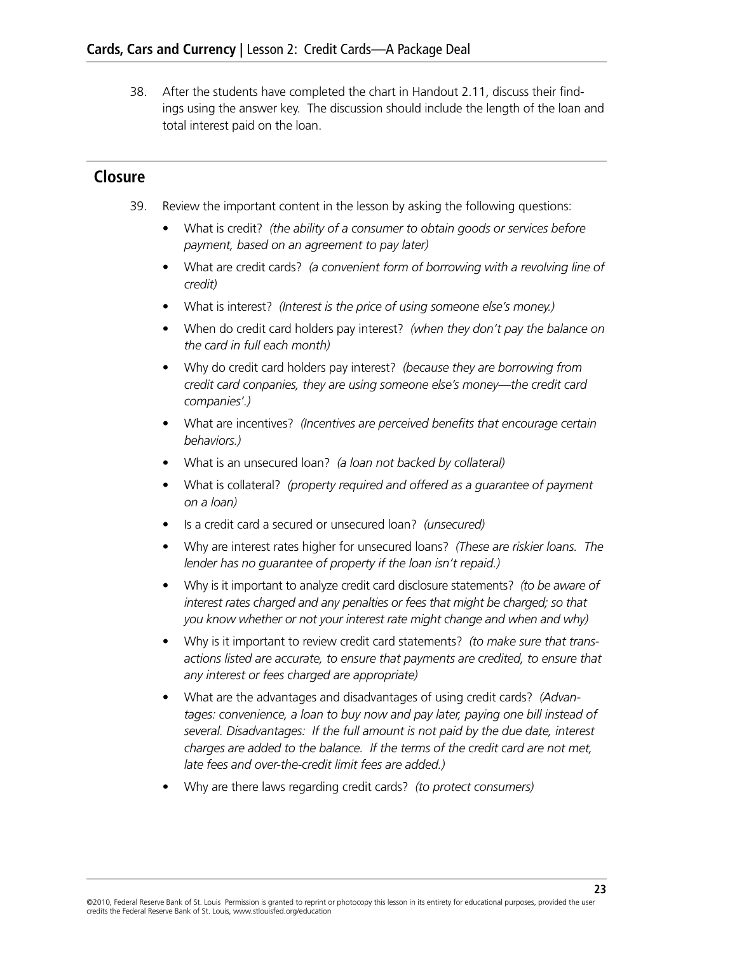38. After the students have completed the chart in Handout 2.11, discuss their findings using the answer key. The discussion should include the length of the loan and total interest paid on the loan.

## **Closure**

- 39. Review the important content in the lesson by asking the following questions:
	- What is credit? *(the ability of a consumer to obtain goods or services before payment, based on an agreement to pay later)*
	- • What are credit cards? *(a convenient form of borrowing with a revolving line of credit)*
	- • What is interest? *(Interest is the price of using someone else's money.)*
	- • When do credit card holders pay interest? *(when they don't pay the balance on the card in full each month)*
	- • Why do credit card holders pay interest? *(because they are borrowing from credit card conpanies, they are using someone else's money—the credit card companies'.)*
	- What are incentives? *(Incentives are perceived benefits that encourage certain behaviors.)*
	- • What is an unsecured loan? *(a loan not backed by collateral)*
	- What is collateral? *(property required and offered as a quarantee of payment on a loan)*
	- Is a credit card a secured or unsecured loan? *(unsecured)*
	- • Why are interest rates higher for unsecured loans? *(These are riskier loans. The lender has no guarantee of property if the loan isn't repaid.)*
	- • Why is it important to analyze credit card disclosure statements? *(to be aware of interest rates charged and any penalties or fees that might be charged; so that you know whether or not your interest rate might change and when and why)*
	- Why is it important to review credit card statements? *(to make sure that transactions listed are accurate, to ensure that payments are credited, to ensure that any interest or fees charged are appropriate)*
	- What are the advantages and disadvantages of using credit cards? *(Advantages: convenience, a loan to buy now and pay later, paying one bill instead of several. Disadvantages: If the full amount is not paid by the due date, interest charges are added to the balance. If the terms of the credit card are not met, late fees and over-the-credit limit fees are added.)*
	- • Why are there laws regarding credit cards? *(to protect consumers)*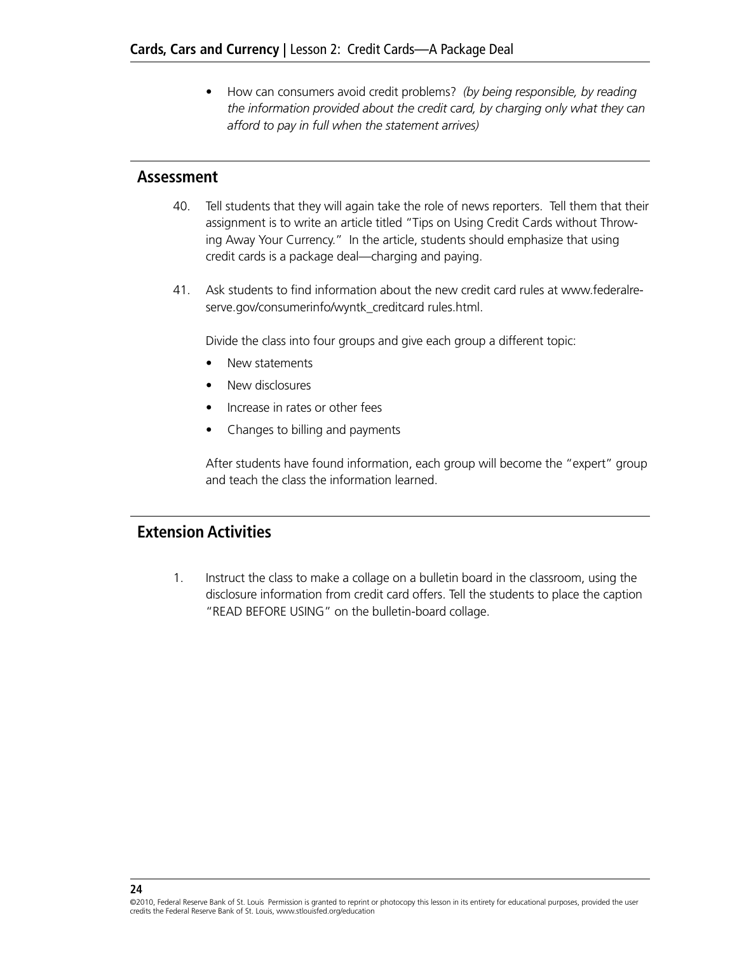• How can consumers avoid credit problems? *(by being responsible, by reading the information provided about the credit card, by charging only what they can afford to pay in full when the statement arrives)*

## **Assessment**

- 40. Tell students that they will again take the role of news reporters. Tell them that their assignment is to write an article titled "Tips on Using Credit Cards without Throwing Away Your Currency." In the article, students should emphasize that using credit cards is a package deal—charging and paying.
- 41. Ask students to find information about the new credit card rules at www.federalreserve.gov/consumerinfo/wyntk\_creditcard rules.html.

Divide the class into four groups and give each group a different topic:

- New statements
- New disclosures
- • Increase in rates or other fees
- Changes to billing and payments

After students have found information, each group will become the "expert" group and teach the class the information learned.

## **Extension Activities**

**24**

1. Instruct the class to make a collage on a bulletin board in the classroom, using the disclosure information from credit card offers. Tell the students to place the caption "READ BEFORE USING" on the bulletin-board collage.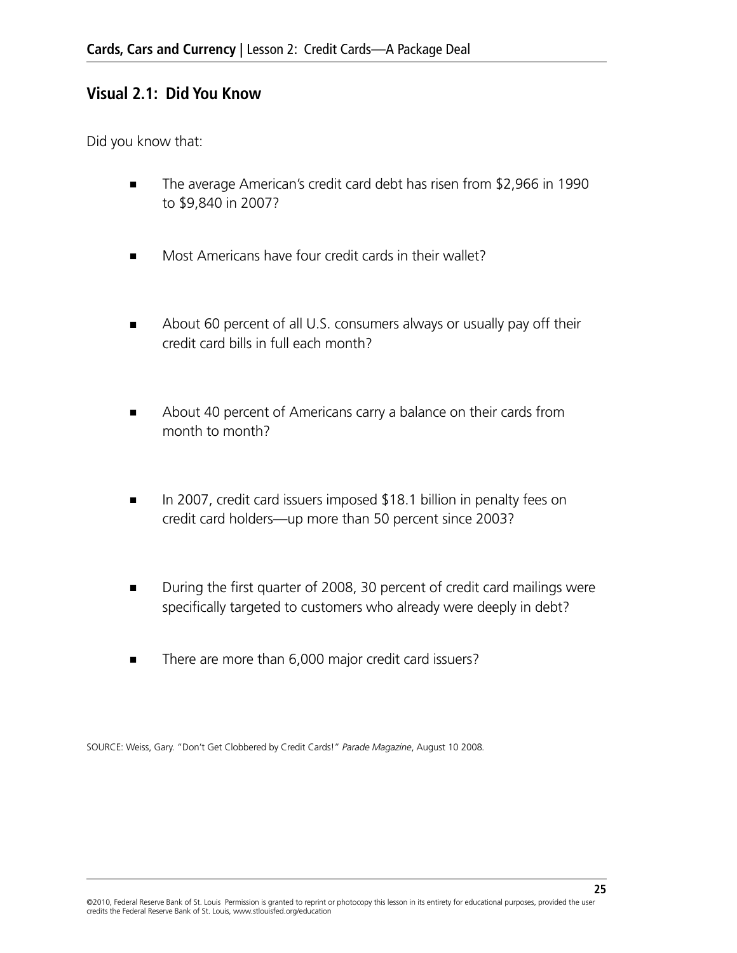## **Visual 2.1: Did You Know**

Did you know that:

- The average American's credit card debt has risen from \$2,966 in 1990 to \$9,840 in 2007?
- Most Americans have four credit cards in their wallet?
- About 60 percent of all U.S. consumers always or usually pay off their credit card bills in full each month?
- About 40 percent of Americans carry a balance on their cards from month to month?
- In 2007, credit card issuers imposed \$18.1 billion in penalty fees on credit card holders—up more than 50 percent since 2003?
- During the first quarter of 2008, 30 percent of credit card mailings were specifically targeted to customers who already were deeply in debt?
- There are more than 6,000 major credit card issuers?

SOURCE: Weiss, Gary. "Don't Get Clobbered by Credit Cards!" *Parade Magazine*, August 10 2008*.*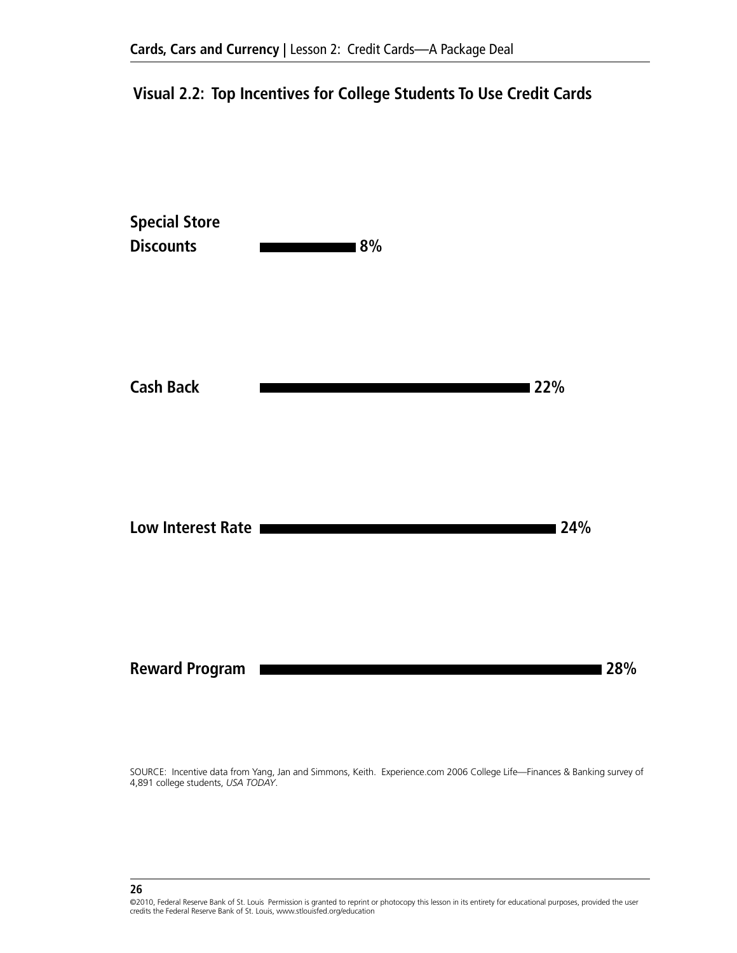## **Visual 2.2: Top Incentives for College Students To Use Credit Cards**



SOURCE: Incentive data from Yang, Jan and Simmons, Keith. Experience.com 2006 College Life—Finances & Banking survey of 4,891 college students, *USA TODAY*.

<sup>©2010,</sup> Federal Reserve Bank of St. Louis Permission is granted to reprint or photocopy this lesson in its entirety for educational purposes, provided the user credits the Federal Reserve Bank of St. Louis, www.stlouisfed.org/education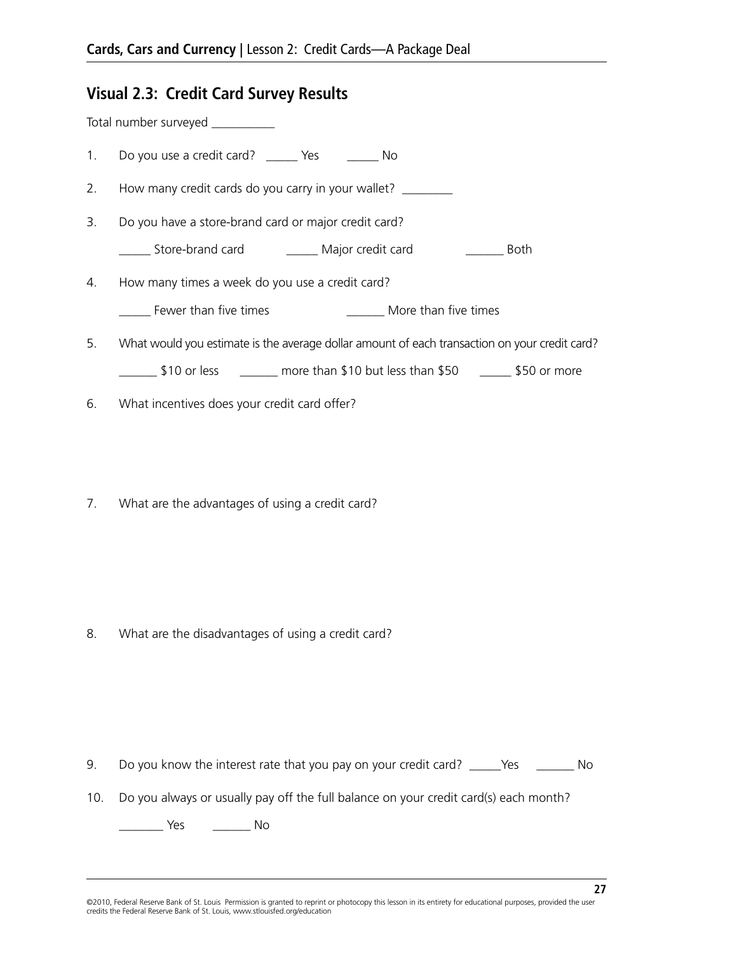## **Visual 2.3: Credit Card Survey Results**

Total number surveyed \_\_\_\_\_\_\_\_\_\_

- 1. Do you use a credit card? \_\_\_\_\_ Yes \_\_\_\_\_\_ No
- 2. How many credit cards do you carry in your wallet? \_\_\_\_\_\_\_\_
- 3. Do you have a store-brand card or major credit card?
	- \_\_\_\_\_ Store-brand card \_\_\_\_\_ Major credit card \_\_\_\_\_\_ Both
- 4. How many times a week do you use a credit card?
	- Lackson Fewer than five times Theorem 2011 More than five times
- 5. What would you estimate is the average dollar amount of each transaction on your credit card? 510 or less \_\_\_\_\_\_ more than \$10 but less than \$50 \_\_\_\_\_ \$50 or more
- 6. What incentives does your credit card offer?
- 7. What are the advantages of using a credit card?

8. What are the disadvantages of using a credit card?

- 9. Do you know the interest rate that you pay on your credit card? \_\_\_\_\_Yes \_\_\_\_\_\_\_ No
- 10. Do you always or usually pay off the full balance on your credit card(s) each month?

\_\_\_\_\_\_\_ Yes \_\_\_\_\_\_ No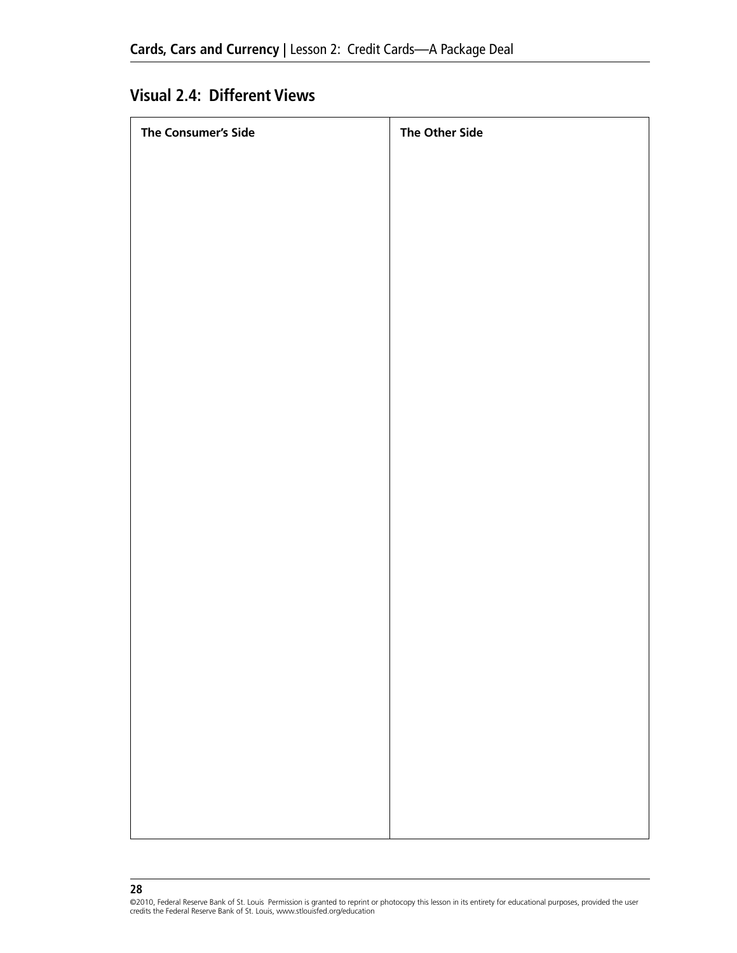## **Visual 2.4: Different Views**

| The Consumer's Side | <b>The Other Side</b> |
|---------------------|-----------------------|
|                     |                       |
|                     |                       |
|                     |                       |
|                     |                       |
|                     |                       |
|                     |                       |
|                     |                       |
|                     |                       |
|                     |                       |
|                     |                       |
|                     |                       |
|                     |                       |
|                     |                       |
|                     |                       |
|                     |                       |
|                     |                       |
|                     |                       |
|                     |                       |
|                     |                       |
|                     |                       |
|                     |                       |
|                     |                       |
|                     |                       |

<sup>©2010,</sup> Federal Reserve Bank of St. Louis Permission is granted to reprint or photocopy this lesson in its entirety for educational purposes, provided the user<br>credits the Federal Reserve Bank of St. Louis, www.stlouisfed.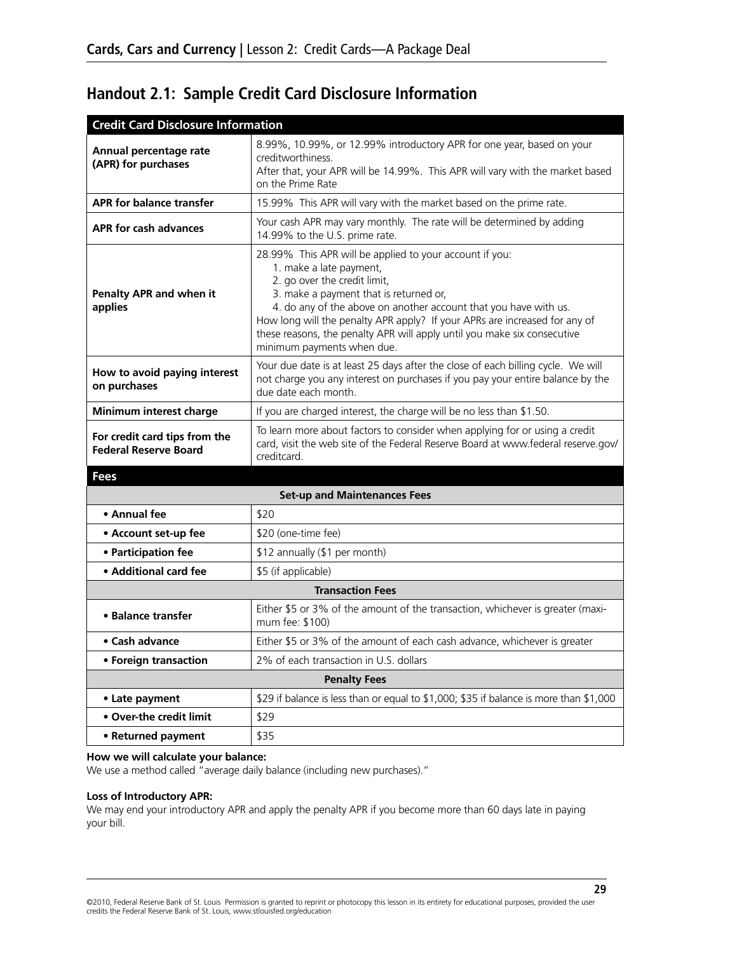# **Handout 2.1: Sample Credit Card Disclosure Information**

| <b>Credit Card Disclosure Information</b>                     |                                                                                                                                                                                                                                                                                                                                                                                                                          |
|---------------------------------------------------------------|--------------------------------------------------------------------------------------------------------------------------------------------------------------------------------------------------------------------------------------------------------------------------------------------------------------------------------------------------------------------------------------------------------------------------|
| Annual percentage rate<br>(APR) for purchases                 | 8.99%, 10.99%, or 12.99% introductory APR for one year, based on your<br>creditworthiness.<br>After that, your APR will be 14.99%. This APR will vary with the market based<br>on the Prime Rate                                                                                                                                                                                                                         |
| <b>APR for balance transfer</b>                               | 15.99% This APR will vary with the market based on the prime rate.                                                                                                                                                                                                                                                                                                                                                       |
| APR for cash advances                                         | Your cash APR may vary monthly. The rate will be determined by adding<br>14.99% to the U.S. prime rate.                                                                                                                                                                                                                                                                                                                  |
| Penalty APR and when it<br>applies                            | 28.99% This APR will be applied to your account if you:<br>1. make a late payment,<br>2. go over the credit limit,<br>3. make a payment that is returned or,<br>4. do any of the above on another account that you have with us.<br>How long will the penalty APR apply? If your APRs are increased for any of<br>these reasons, the penalty APR will apply until you make six consecutive<br>minimum payments when due. |
| How to avoid paying interest<br>on purchases                  | Your due date is at least 25 days after the close of each billing cycle. We will<br>not charge you any interest on purchases if you pay your entire balance by the<br>due date each month.                                                                                                                                                                                                                               |
| Minimum interest charge                                       | If you are charged interest, the charge will be no less than \$1.50.                                                                                                                                                                                                                                                                                                                                                     |
| For credit card tips from the<br><b>Federal Reserve Board</b> | To learn more about factors to consider when applying for or using a credit<br>card, visit the web site of the Federal Reserve Board at www.federal reserve.gov/<br>creditcard.                                                                                                                                                                                                                                          |
| <b>Fees</b>                                                   |                                                                                                                                                                                                                                                                                                                                                                                                                          |
|                                                               | <b>Set-up and Maintenances Fees</b>                                                                                                                                                                                                                                                                                                                                                                                      |
| • Annual fee                                                  | \$20                                                                                                                                                                                                                                                                                                                                                                                                                     |
| • Account set-up fee                                          | \$20 (one-time fee)                                                                                                                                                                                                                                                                                                                                                                                                      |
| • Participation fee                                           | \$12 annually (\$1 per month)                                                                                                                                                                                                                                                                                                                                                                                            |
| • Additional card fee                                         | \$5 (if applicable)                                                                                                                                                                                                                                                                                                                                                                                                      |
|                                                               | <b>Transaction Fees</b>                                                                                                                                                                                                                                                                                                                                                                                                  |
| • Balance transfer                                            | Either \$5 or 3% of the amount of the transaction, whichever is greater (maxi-<br>mum fee: \$100)                                                                                                                                                                                                                                                                                                                        |
| • Cash advance                                                | Either \$5 or 3% of the amount of each cash advance, whichever is greater                                                                                                                                                                                                                                                                                                                                                |
| • Foreign transaction                                         | 2% of each transaction in U.S. dollars                                                                                                                                                                                                                                                                                                                                                                                   |
|                                                               | <b>Penalty Fees</b>                                                                                                                                                                                                                                                                                                                                                                                                      |
| • Late payment                                                | \$29 if balance is less than or equal to \$1,000; \$35 if balance is more than \$1,000                                                                                                                                                                                                                                                                                                                                   |
| • Over-the credit limit                                       | \$29                                                                                                                                                                                                                                                                                                                                                                                                                     |
| • Returned payment                                            | \$35                                                                                                                                                                                                                                                                                                                                                                                                                     |

#### **How we will calculate your balance:**

We use a method called "average daily balance (including new purchases)."

#### **Loss of Introductory APR:**

We may end your introductory APR and apply the penalty APR if you become more than 60 days late in paying your bill.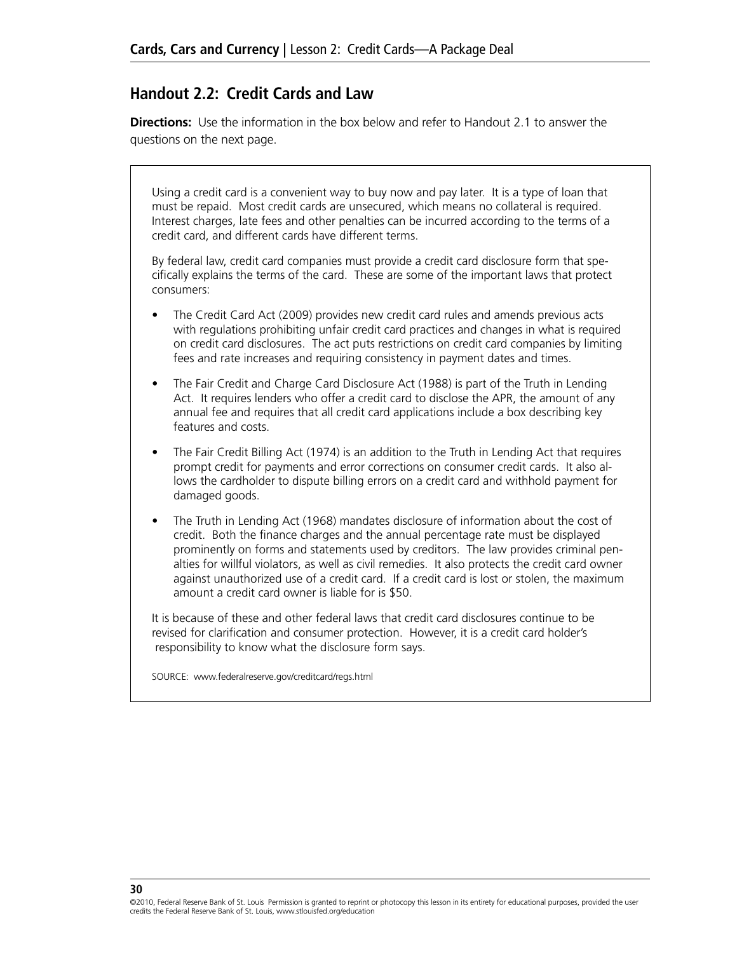## **Handout 2.2: Credit Cards and Law**

**Directions:** Use the information in the box below and refer to Handout 2.1 to answer the questions on the next page.

Using a credit card is a convenient way to buy now and pay later. It is a type of loan that must be repaid. Most credit cards are unsecured, which means no collateral is required. Interest charges, late fees and other penalties can be incurred according to the terms of a credit card, and different cards have different terms.

By federal law, credit card companies must provide a credit card disclosure form that specifically explains the terms of the card. These are some of the important laws that protect consumers:

- The Credit Card Act (2009) provides new credit card rules and amends previous acts with regulations prohibiting unfair credit card practices and changes in what is required on credit card disclosures. The act puts restrictions on credit card companies by limiting fees and rate increases and requiring consistency in payment dates and times.
- The Fair Credit and Charge Card Disclosure Act (1988) is part of the Truth in Lending Act. It requires lenders who offer a credit card to disclose the APR, the amount of any annual fee and requires that all credit card applications include a box describing key features and costs.
- The Fair Credit Billing Act (1974) is an addition to the Truth in Lending Act that requires prompt credit for payments and error corrections on consumer credit cards. It also allows the cardholder to dispute billing errors on a credit card and withhold payment for damaged goods.
- The Truth in Lending Act (1968) mandates disclosure of information about the cost of credit. Both the finance charges and the annual percentage rate must be displayed prominently on forms and statements used by creditors. The law provides criminal penalties for willful violators, as well as civil remedies. It also protects the credit card owner against unauthorized use of a credit card. If a credit card is lost or stolen, the maximum amount a credit card owner is liable for is \$50.

It is because of these and other federal laws that credit card disclosures continue to be revised for clarification and consumer protection. However, it is a credit card holder's responsibility to know what the disclosure form says.

Source: www.federalreserve.gov/creditcard/regs.html

<sup>©2010,</sup> Federal Reserve Bank of St. Louis Permission is granted to reprint or photocopy this lesson in its entirety for educational purposes, provided the user credits the Federal Reserve Bank of St. Louis, www.stlouisfed.org/education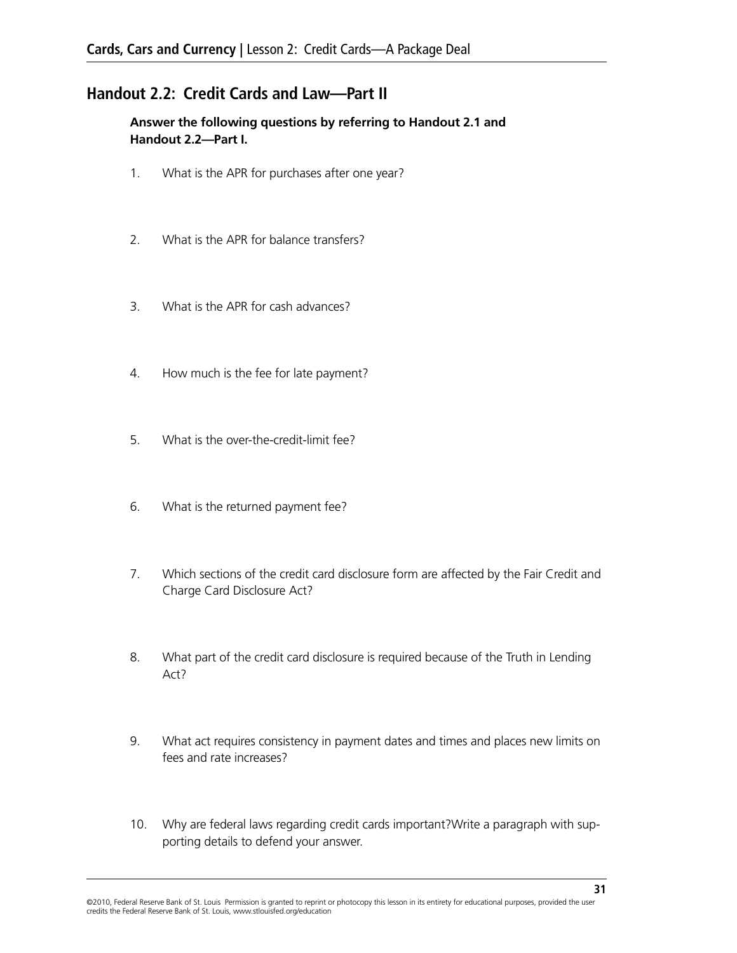## **Handout 2.2: Credit Cards and Law—Part II**

**Answer the following questions by referring to Handout 2.1 and Handout 2.2—Part I.**

- 1. What is the APR for purchases after one year?
- 2. What is the APR for balance transfers?
- 3. What is the APR for cash advances?
- 4. How much is the fee for late payment?
- 5. What is the over-the-credit-limit fee?
- 6. What is the returned payment fee?
- 7. Which sections of the credit card disclosure form are affected by the Fair Credit and Charge Card Disclosure Act?
- 8. What part of the credit card disclosure is required because of the Truth in Lending Act?
- 9. What act requires consistency in payment dates and times and places new limits on fees and rate increases?
- 10. Why are federal laws regarding credit cards important?Write a paragraph with supporting details to defend your answer.

<sup>©2010,</sup> Federal Reserve Bank of St. Louis Permission is granted to reprint or photocopy this lesson in its entirety for educational purposes, provided the user credits the Federal Reserve Bank of St. Louis, www.stlouisfed.org/education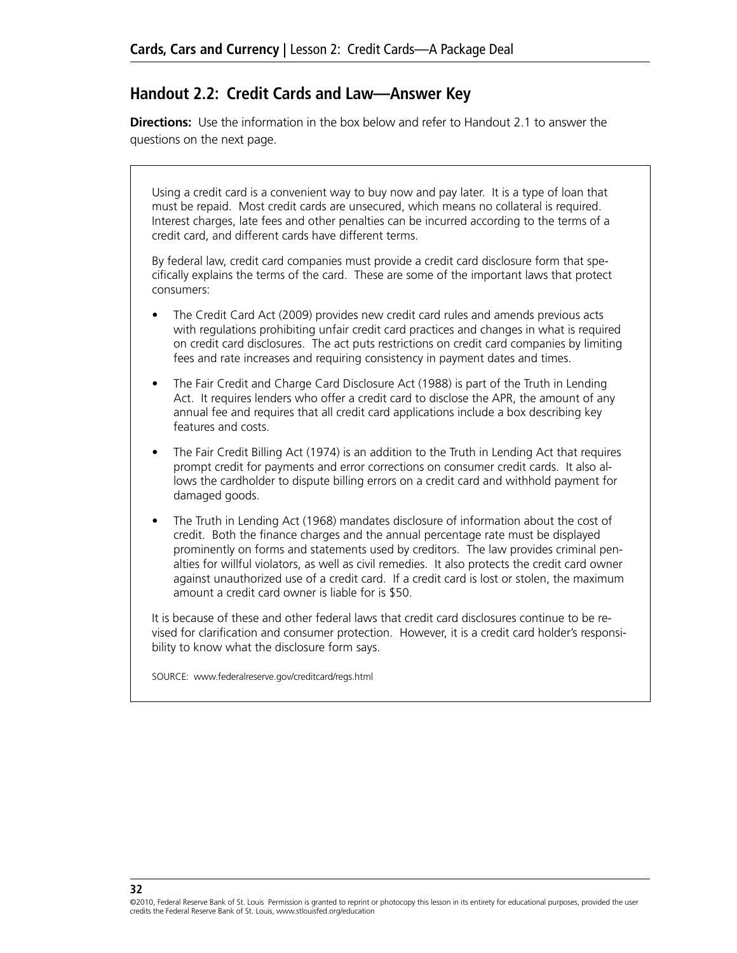## **Handout 2.2: Credit Cards and Law—Answer Key**

**Directions:** Use the information in the box below and refer to Handout 2.1 to answer the questions on the next page.

Using a credit card is a convenient way to buy now and pay later. It is a type of loan that must be repaid. Most credit cards are unsecured, which means no collateral is required. Interest charges, late fees and other penalties can be incurred according to the terms of a credit card, and different cards have different terms.

By federal law, credit card companies must provide a credit card disclosure form that specifically explains the terms of the card. These are some of the important laws that protect consumers:

- The Credit Card Act (2009) provides new credit card rules and amends previous acts with regulations prohibiting unfair credit card practices and changes in what is required on credit card disclosures. The act puts restrictions on credit card companies by limiting fees and rate increases and requiring consistency in payment dates and times.
- The Fair Credit and Charge Card Disclosure Act (1988) is part of the Truth in Lending Act. It requires lenders who offer a credit card to disclose the APR, the amount of any annual fee and requires that all credit card applications include a box describing key features and costs.
- The Fair Credit Billing Act (1974) is an addition to the Truth in Lending Act that requires prompt credit for payments and error corrections on consumer credit cards. It also allows the cardholder to dispute billing errors on a credit card and withhold payment for damaged goods.
- The Truth in Lending Act (1968) mandates disclosure of information about the cost of credit. Both the finance charges and the annual percentage rate must be displayed prominently on forms and statements used by creditors. The law provides criminal penalties for willful violators, as well as civil remedies. It also protects the credit card owner against unauthorized use of a credit card. If a credit card is lost or stolen, the maximum amount a credit card owner is liable for is \$50.

It is because of these and other federal laws that credit card disclosures continue to be revised for clarification and consumer protection. However, it is a credit card holder's responsibility to know what the disclosure form says.

Source: www.federalreserve.gov/creditcard/regs.html

**32**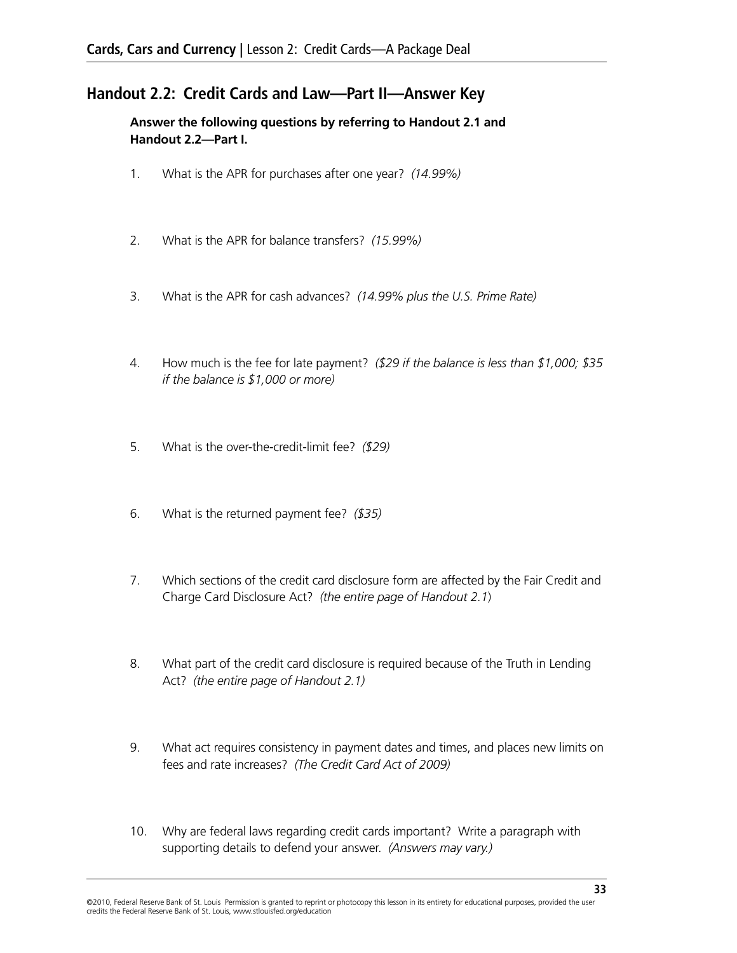## **Handout 2.2: Credit Cards and Law—Part II—Answer Key**

**Answer the following questions by referring to Handout 2.1 and Handout 2.2—Part I.**

- 1. What is the APR for purchases after one year? *(14.99%)*
- 2. What is the APR for balance transfers? *(15.99%)*
- 3. What is the APR for cash advances? *(14.99% plus the U.S. Prime Rate)*
- 4. How much is the fee for late payment? *(\$29 if the balance is less than \$1,000; \$35 if the balance is \$1,000 or more)*
- 5. What is the over-the-credit-limit fee? *(\$29)*
- 6. What is the returned payment fee? *(\$35)*
- 7. Which sections of the credit card disclosure form are affected by the Fair Credit and Charge Card Disclosure Act? *(the entire page of Handout 2.1*)
- 8. What part of the credit card disclosure is required because of the Truth in Lending Act? *(the entire page of Handout 2.1)*
- 9. What act requires consistency in payment dates and times, and places new limits on fees and rate increases? *(The Credit Card Act of 2009)*
- 10. Why are federal laws regarding credit cards important? Write a paragraph with supporting details to defend your answer. *(Answers may vary.)*

<sup>©2010,</sup> Federal Reserve Bank of St. Louis Permission is granted to reprint or photocopy this lesson in its entirety for educational purposes, provided the user credits the Federal Reserve Bank of St. Louis, www.stlouisfed.org/education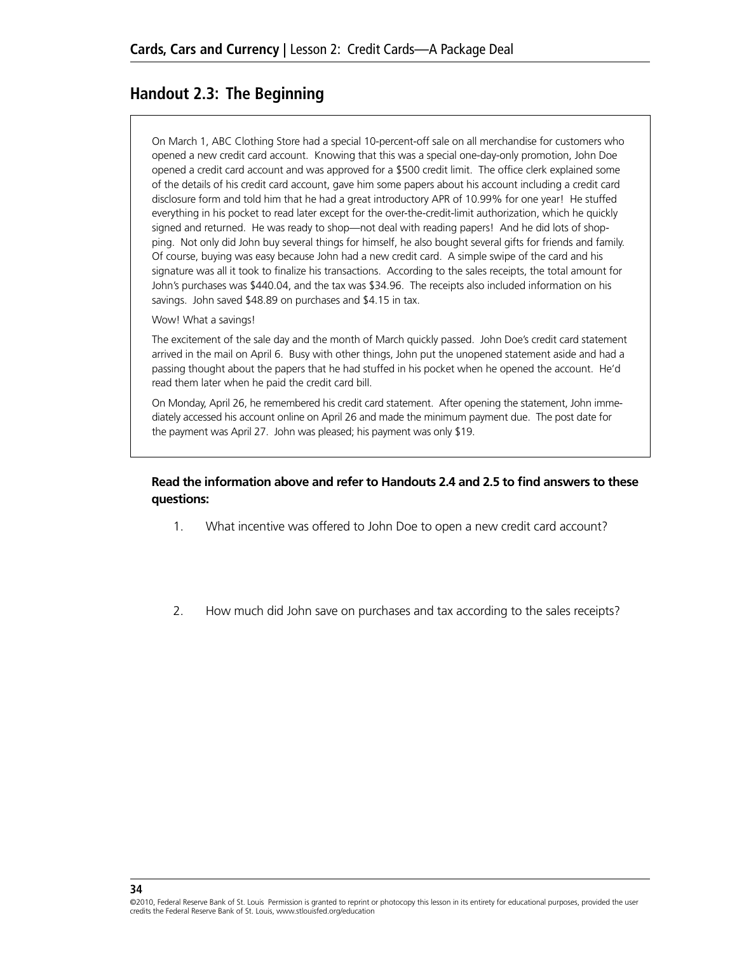## **Handout 2.3: The Beginning**

On March 1, ABC Clothing Store had a special 10-percent-off sale on all merchandise for customers who opened a new credit card account. Knowing that this was a special one-day-only promotion, John Doe opened a credit card account and was approved for a \$500 credit limit. The office clerk explained some of the details of his credit card account, gave him some papers about his account including a credit card disclosure form and told him that he had a great introductory APR of 10.99% for one year! He stuffed everything in his pocket to read later except for the over-the-credit-limit authorization, which he quickly signed and returned. He was ready to shop—not deal with reading papers! And he did lots of shopping. Not only did John buy several things for himself, he also bought several gifts for friends and family. Of course, buying was easy because John had a new credit card. A simple swipe of the card and his signature was all it took to finalize his transactions. According to the sales receipts, the total amount for John's purchases was \$440.04, and the tax was \$34.96. The receipts also included information on his savings. John saved \$48.89 on purchases and \$4.15 in tax.

Wow! What a savings!

The excitement of the sale day and the month of March quickly passed. John Doe's credit card statement arrived in the mail on April 6. Busy with other things, John put the unopened statement aside and had a passing thought about the papers that he had stuffed in his pocket when he opened the account. He'd read them later when he paid the credit card bill.

On Monday, April 26, he remembered his credit card statement. After opening the statement, John immediately accessed his account online on April 26 and made the minimum payment due. The post date for the payment was April 27. John was pleased; his payment was only \$19.

#### **Read the information above and refer to Handouts 2.4 and 2.5 to find answers to these questions:**

- 1. What incentive was offered to John Doe to open a new credit card account?
- 2. How much did John save on purchases and tax according to the sales receipts?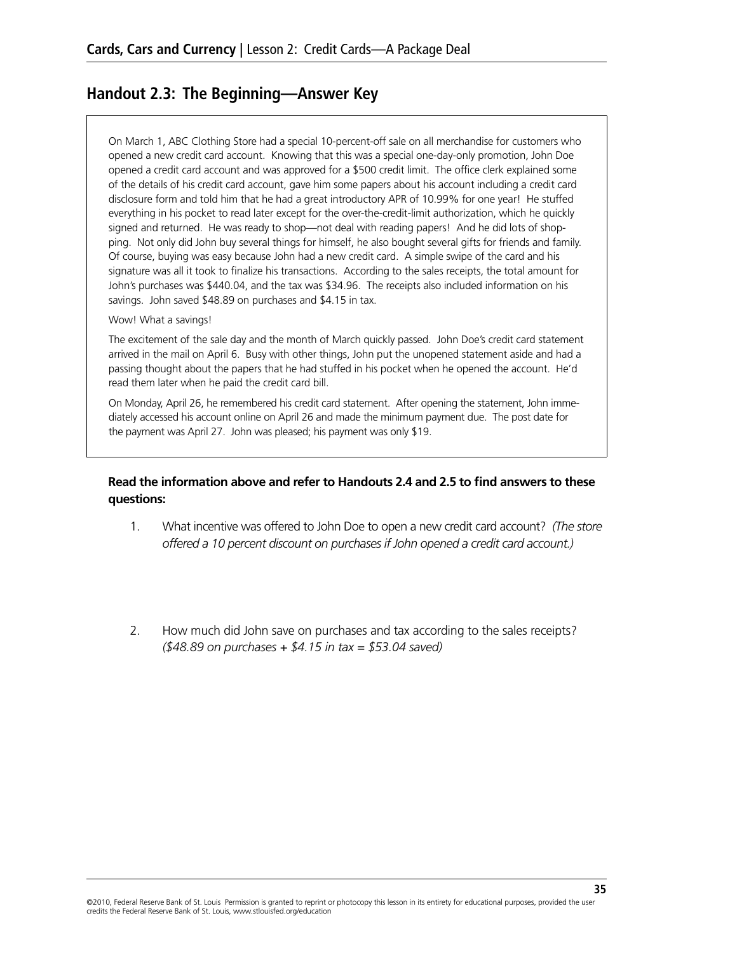## **Handout 2.3: The Beginning—Answer Key**

On March 1, ABC Clothing Store had a special 10-percent-off sale on all merchandise for customers who opened a new credit card account. Knowing that this was a special one-day-only promotion, John Doe opened a credit card account and was approved for a \$500 credit limit. The office clerk explained some of the details of his credit card account, gave him some papers about his account including a credit card disclosure form and told him that he had a great introductory APR of 10.99% for one year! He stuffed everything in his pocket to read later except for the over-the-credit-limit authorization, which he quickly signed and returned. He was ready to shop—not deal with reading papers! And he did lots of shopping. Not only did John buy several things for himself, he also bought several gifts for friends and family. Of course, buying was easy because John had a new credit card. A simple swipe of the card and his signature was all it took to finalize his transactions. According to the sales receipts, the total amount for John's purchases was \$440.04, and the tax was \$34.96. The receipts also included information on his savings. John saved \$48.89 on purchases and \$4.15 in tax.

#### Wow! What a savings!

The excitement of the sale day and the month of March quickly passed. John Doe's credit card statement arrived in the mail on April 6. Busy with other things, John put the unopened statement aside and had a passing thought about the papers that he had stuffed in his pocket when he opened the account. He'd read them later when he paid the credit card bill.

On Monday, April 26, he remembered his credit card statement. After opening the statement, John immediately accessed his account online on April 26 and made the minimum payment due. The post date for the payment was April 27. John was pleased; his payment was only \$19.

#### **Read the information above and refer to Handouts 2.4 and 2.5 to find answers to these questions:**

- 1. What incentive was offered to John Doe to open a new credit card account? *(The store offered a 10 percent discount on purchases if John opened a credit card account.)*
- 2. How much did John save on purchases and tax according to the sales receipts? *(\$48.89 on purchases + \$4.15 in tax = \$53.04 saved)*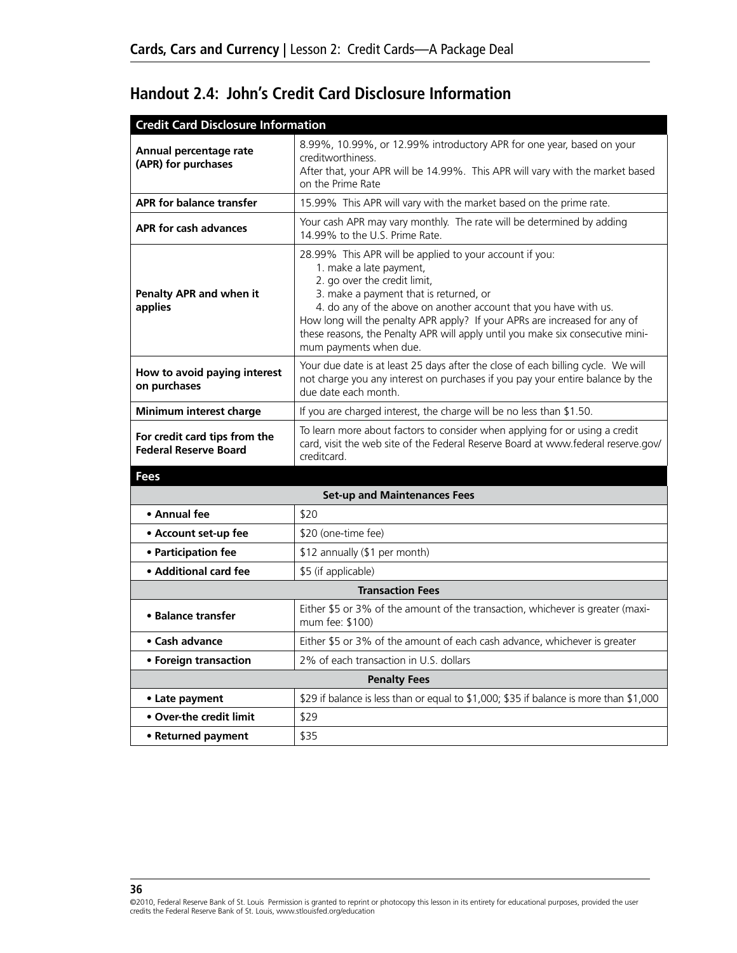| <b>Credit Card Disclosure Information</b>                     |                                                                                                                                                                                                                                                                                                                                                                                                                            |
|---------------------------------------------------------------|----------------------------------------------------------------------------------------------------------------------------------------------------------------------------------------------------------------------------------------------------------------------------------------------------------------------------------------------------------------------------------------------------------------------------|
| Annual percentage rate<br>(APR) for purchases                 | 8.99%, 10.99%, or 12.99% introductory APR for one year, based on your<br>creditworthiness.<br>After that, your APR will be 14.99%. This APR will vary with the market based<br>on the Prime Rate                                                                                                                                                                                                                           |
| <b>APR for balance transfer</b>                               | 15.99% This APR will vary with the market based on the prime rate.                                                                                                                                                                                                                                                                                                                                                         |
| APR for cash advances                                         | Your cash APR may vary monthly. The rate will be determined by adding<br>14.99% to the U.S. Prime Rate.                                                                                                                                                                                                                                                                                                                    |
| Penalty APR and when it<br>applies                            | 28.99% This APR will be applied to your account if you:<br>1. make a late payment,<br>2. go over the credit limit,<br>3. make a payment that is returned, or<br>4. do any of the above on another account that you have with us.<br>How long will the penalty APR apply? If your APRs are increased for any of<br>these reasons, the Penalty APR will apply until you make six consecutive mini-<br>mum payments when due. |
| How to avoid paying interest<br>on purchases                  | Your due date is at least 25 days after the close of each billing cycle. We will<br>not charge you any interest on purchases if you pay your entire balance by the<br>due date each month.                                                                                                                                                                                                                                 |
| Minimum interest charge                                       | If you are charged interest, the charge will be no less than \$1.50.                                                                                                                                                                                                                                                                                                                                                       |
| For credit card tips from the<br><b>Federal Reserve Board</b> | To learn more about factors to consider when applying for or using a credit<br>card, visit the web site of the Federal Reserve Board at www.federal reserve.gov/<br>creditcard.                                                                                                                                                                                                                                            |
| Fees                                                          |                                                                                                                                                                                                                                                                                                                                                                                                                            |

# **Handout 2.4: John's Credit Card Disclosure Information**

| <b>Set-up and Maintenances Fees</b> |                                                                                                   |  |  |  |  |  |
|-------------------------------------|---------------------------------------------------------------------------------------------------|--|--|--|--|--|
| • Annual fee                        | \$20                                                                                              |  |  |  |  |  |
| • Account set-up fee                | \$20 (one-time fee)                                                                               |  |  |  |  |  |
| • Participation fee                 | \$12 annually (\$1 per month)                                                                     |  |  |  |  |  |
| • Additional card fee               | \$5 (if applicable)                                                                               |  |  |  |  |  |
|                                     | <b>Transaction Fees</b>                                                                           |  |  |  |  |  |
| • Balance transfer                  | Either \$5 or 3% of the amount of the transaction, whichever is greater (maxi-<br>mum fee: \$100) |  |  |  |  |  |
| • Cash advance                      | Either \$5 or 3% of the amount of each cash advance, whichever is greater                         |  |  |  |  |  |
| • Foreign transaction               | 2% of each transaction in U.S. dollars                                                            |  |  |  |  |  |
| <b>Penalty Fees</b>                 |                                                                                                   |  |  |  |  |  |
| • Late payment                      | \$29 if balance is less than or equal to \$1,000; \$35 if balance is more than \$1,000            |  |  |  |  |  |
| • Over-the credit limit             | \$29                                                                                              |  |  |  |  |  |
| • Returned payment                  | \$35                                                                                              |  |  |  |  |  |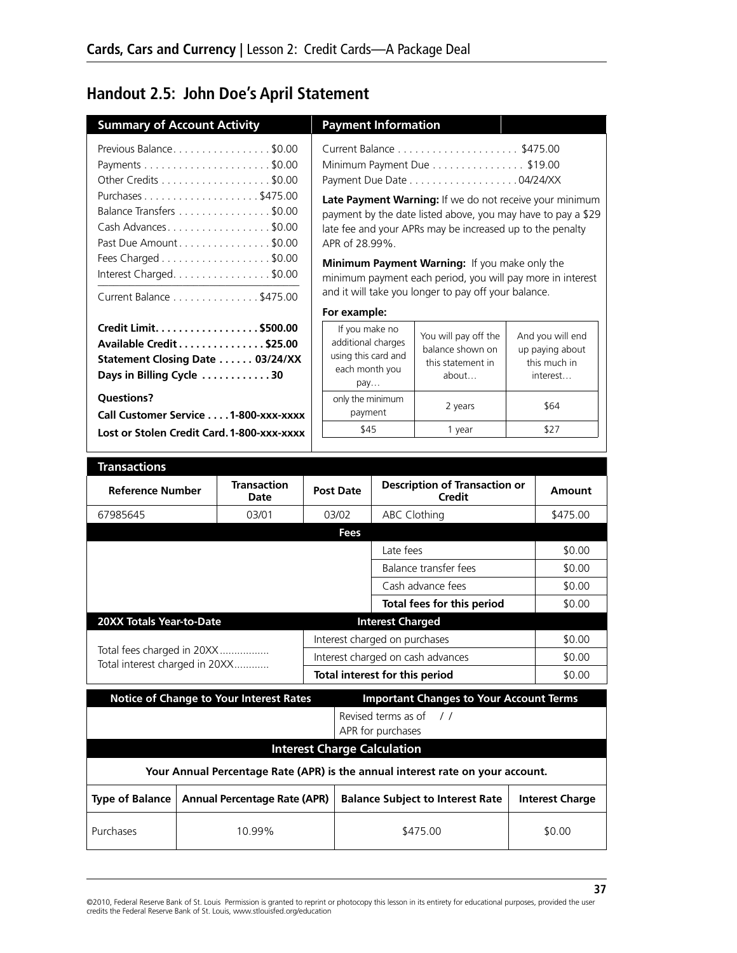# **Handout 2.5: John Doe's April Statement**

| <b>Summary of Account Activity</b>            |                                                                                                                                                                                                                              |                                                                                                                          | <b>Payment Information</b>               |                                                                                                                                                                                                                                                                                                                                                                                            |                                                                         |
|-----------------------------------------------|------------------------------------------------------------------------------------------------------------------------------------------------------------------------------------------------------------------------------|--------------------------------------------------------------------------------------------------------------------------|------------------------------------------|--------------------------------------------------------------------------------------------------------------------------------------------------------------------------------------------------------------------------------------------------------------------------------------------------------------------------------------------------------------------------------------------|-------------------------------------------------------------------------|
|                                               | Previous Balance\$0.00<br>Other Credits \$0.00<br>Purchases\$475.00<br>Balance Transfers \$0.00<br>Cash Advances\$0.00<br>Past Due Amount\$0.00<br>Fees Charged \$0.00<br>Interest Charged\$0.00<br>Current Balance \$475.00 | APR of 28.99%.                                                                                                           |                                          | Minimum Payment Due \$19.00<br>Late Payment Warning: If we do not receive your minimum<br>payment by the date listed above, you may have to pay a \$29<br>late fee and your APRs may be increased up to the penalty<br>Minimum Payment Warning: If you make only the<br>minimum payment each period, you will pay more in interest<br>and it will take you longer to pay off your balance. |                                                                         |
| Days in Billing Cycle 30<br><b>Questions?</b> | Credit Limit. \$500.00<br>Available Credit \$25.00<br>Statement Closing Date  03/24/XX                                                                                                                                       | For example:<br>If you make no<br>additional charges<br>using this card and<br>each month you<br>pay<br>only the minimum |                                          | You will pay off the<br>balance shown on<br>this statement in<br>about                                                                                                                                                                                                                                                                                                                     | And you will end<br>up paying about<br>this much in<br>interest<br>\$64 |
|                                               | Call Customer Service 1-800-xxx-xxxx                                                                                                                                                                                         | payment                                                                                                                  |                                          | 2 years                                                                                                                                                                                                                                                                                                                                                                                    |                                                                         |
|                                               | Lost or Stolen Credit Card, 1-800-XXX-XXXX                                                                                                                                                                                   | \$45                                                                                                                     |                                          | 1 year                                                                                                                                                                                                                                                                                                                                                                                     | \$27                                                                    |
|                                               |                                                                                                                                                                                                                              |                                                                                                                          |                                          |                                                                                                                                                                                                                                                                                                                                                                                            |                                                                         |
| <b>Transactions</b>                           |                                                                                                                                                                                                                              |                                                                                                                          |                                          |                                                                                                                                                                                                                                                                                                                                                                                            |                                                                         |
|                                               |                                                                                                                                                                                                                              |                                                                                                                          |                                          |                                                                                                                                                                                                                                                                                                                                                                                            |                                                                         |
| <b>Reference Number</b>                       | <b>Transaction</b><br>Date                                                                                                                                                                                                   | <b>Post Date</b>                                                                                                         |                                          | <b>Description of Transaction or</b><br>Credit                                                                                                                                                                                                                                                                                                                                             | Amount                                                                  |
| 67985645                                      | 03/01                                                                                                                                                                                                                        | 03/02                                                                                                                    | <b>ABC Clothing</b>                      |                                                                                                                                                                                                                                                                                                                                                                                            | \$475.00                                                                |
|                                               |                                                                                                                                                                                                                              | Fees                                                                                                                     |                                          |                                                                                                                                                                                                                                                                                                                                                                                            |                                                                         |
|                                               |                                                                                                                                                                                                                              |                                                                                                                          | Late fees                                |                                                                                                                                                                                                                                                                                                                                                                                            | \$0.00                                                                  |
|                                               |                                                                                                                                                                                                                              |                                                                                                                          |                                          | Balance transfer fees                                                                                                                                                                                                                                                                                                                                                                      | \$0.00                                                                  |
|                                               |                                                                                                                                                                                                                              |                                                                                                                          |                                          | Cash advance fees                                                                                                                                                                                                                                                                                                                                                                          | \$0.00                                                                  |
|                                               |                                                                                                                                                                                                                              |                                                                                                                          |                                          | Total fees for this period                                                                                                                                                                                                                                                                                                                                                                 | \$0.00                                                                  |
| 20XX Totals Year-to-Date                      |                                                                                                                                                                                                                              |                                                                                                                          | <b>Interest Charged</b>                  |                                                                                                                                                                                                                                                                                                                                                                                            |                                                                         |
| Total fees charged in 20XX                    |                                                                                                                                                                                                                              |                                                                                                                          | Interest charged on purchases            |                                                                                                                                                                                                                                                                                                                                                                                            | \$0.00                                                                  |
| Total interest charged in 20XX                |                                                                                                                                                                                                                              |                                                                                                                          |                                          | Interest charged on cash advances                                                                                                                                                                                                                                                                                                                                                          | \$0.00                                                                  |
|                                               |                                                                                                                                                                                                                              |                                                                                                                          | Total interest for this period           |                                                                                                                                                                                                                                                                                                                                                                                            | \$0.00                                                                  |
|                                               | <b>Notice of Change to Your Interest Rates</b>                                                                                                                                                                               |                                                                                                                          |                                          | <b>Important Changes to Your Account Terms</b>                                                                                                                                                                                                                                                                                                                                             |                                                                         |
|                                               |                                                                                                                                                                                                                              |                                                                                                                          | Revised terms as of<br>APR for purchases | $\frac{1}{2}$                                                                                                                                                                                                                                                                                                                                                                              |                                                                         |
|                                               |                                                                                                                                                                                                                              |                                                                                                                          | <b>Interest Charge Calculation</b>       |                                                                                                                                                                                                                                                                                                                                                                                            |                                                                         |
|                                               |                                                                                                                                                                                                                              |                                                                                                                          |                                          | Your Annual Percentage Rate (APR) is the annual interest rate on your account.                                                                                                                                                                                                                                                                                                             |                                                                         |
| <b>Type of Balance</b>                        | <b>Annual Percentage Rate (APR)</b>                                                                                                                                                                                          |                                                                                                                          |                                          | <b>Balance Subject to Interest Rate</b>                                                                                                                                                                                                                                                                                                                                                    | <b>Interest Charge</b>                                                  |

©2010, Federal Reserve Bank of St. Louis Permission is granted to reprint or photocopy this lesson in its entirety for educational purposes, provided the user<br>credits the Federal Reserve Bank of St. Louis, www.stlouisfed.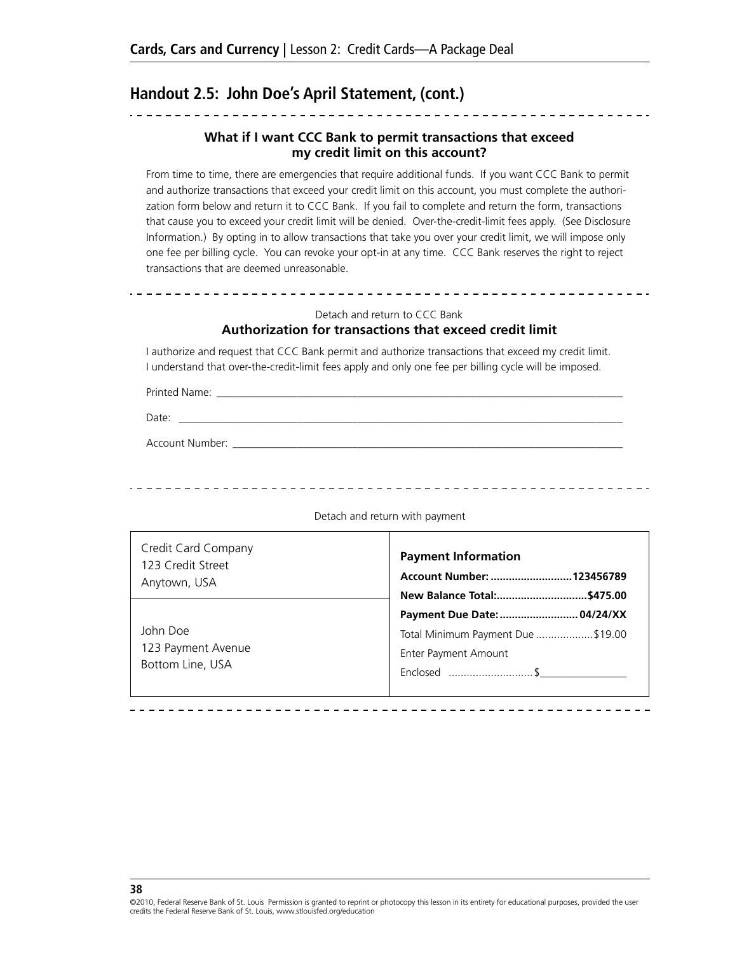## **Handout 2.5: John Doe's April Statement, (cont.)**

#### **What if I want CCC Bank to permit transactions that exceed my credit limit on this account?**

From time to time, there are emergencies that require additional funds. If you want CCC Bank to permit and authorize transactions that exceed your credit limit on this account, you must complete the authorization form below and return it to CCC Bank. If you fail to complete and return the form, transactions that cause you to exceed your credit limit will be denied. Over-the-credit-limit fees apply. (See Disclosure Information.) By opting in to allow transactions that take you over your credit limit, we will impose only one fee per billing cycle. You can revoke your opt-in at any time. CCC Bank reserves the right to reject transactions that are deemed unreasonable.

#### Detach and return to CCC Bank

#### **Authorization for transactions that exceed credit limit**

I authorize and request that CCC Bank permit and authorize transactions that exceed my credit limit. I understand that over-the-credit-limit fees apply and only one fee per billing cycle will be imposed.

Printed Name:

Date: \_\_\_\_\_\_\_\_\_\_\_\_\_\_\_\_\_\_\_\_\_\_\_\_\_\_\_\_\_\_\_\_\_\_\_\_\_\_\_\_\_\_\_\_\_\_\_\_\_\_\_\_\_\_\_\_\_\_\_\_\_\_\_\_\_\_\_\_\_\_\_\_\_\_\_\_\_\_\_\_\_\_

Account Number: \_\_\_\_\_

Credit Card Company 123 Credit Street Anytown, USA **Payment Information Account Number: ...........................123456789 New Balance Total:..............................\$475.00 Payment Due Date:.......................... 04/24/XX**  Total Minimum Payment Due ...................\$19.00 Enter Payment Amount Enclosed ............................\$\_\_\_\_\_\_\_\_\_\_\_\_\_\_\_\_ John Doe 123 Payment Avenue Bottom Line, USA Detach and return with payment

**38**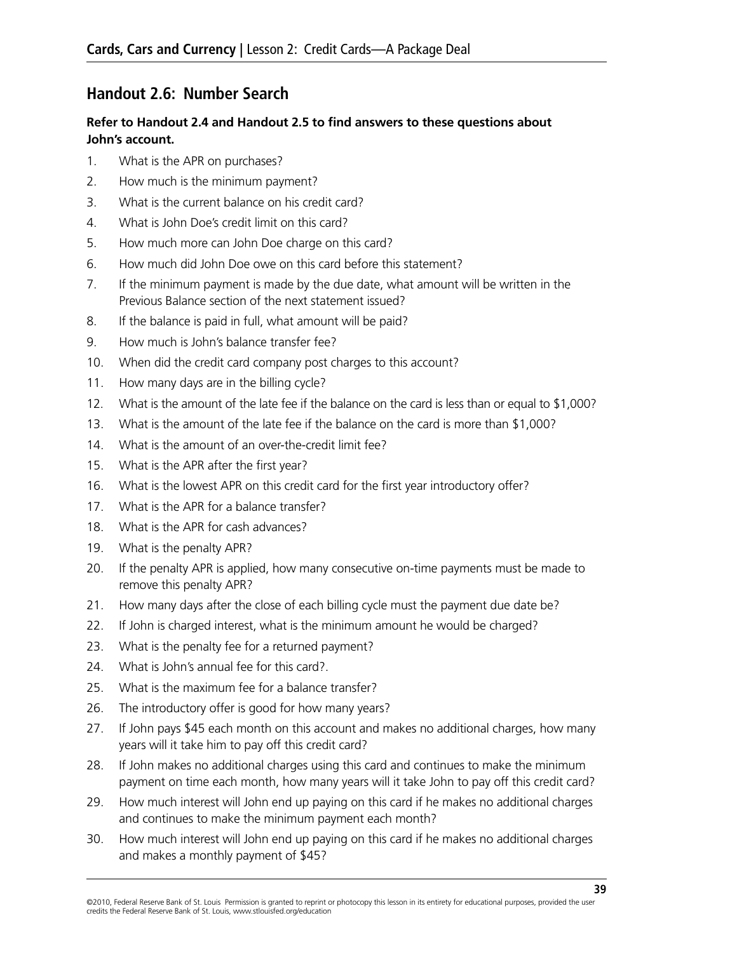## **Handout 2.6: Number Search**

#### **Refer to Handout 2.4 and Handout 2.5 to find answers to these questions about John's account.**

- 1. What is the APR on purchases?
- 2. How much is the minimum payment?
- 3. What is the current balance on his credit card?
- 4. What is John Doe's credit limit on this card?
- 5. How much more can John Doe charge on this card?
- 6. How much did John Doe owe on this card before this statement?
- 7. If the minimum payment is made by the due date, what amount will be written in the Previous Balance section of the next statement issued?
- 8. If the balance is paid in full, what amount will be paid?
- 9. How much is John's balance transfer fee?
- 10. When did the credit card company post charges to this account?
- 11. How many days are in the billing cycle?
- 12. What is the amount of the late fee if the balance on the card is less than or equal to \$1,000?
- 13. What is the amount of the late fee if the balance on the card is more than \$1,000?
- 14. What is the amount of an over-the-credit limit fee?
- 15. What is the APR after the first year?
- 16. What is the lowest APR on this credit card for the first year introductory offer?
- 17. What is the APR for a balance transfer?
- 18. What is the APR for cash advances?
- 19. What is the penalty APR?
- 20. If the penalty APR is applied, how many consecutive on-time payments must be made to remove this penalty APR?
- 21. How many days after the close of each billing cycle must the payment due date be?
- 22. If John is charged interest, what is the minimum amount he would be charged?
- 23. What is the penalty fee for a returned payment?
- 24. What is John's annual fee for this card?.
- 25. What is the maximum fee for a balance transfer?
- 26. The introductory offer is good for how many years?
- 27. If John pays \$45 each month on this account and makes no additional charges, how many years will it take him to pay off this credit card?
- 28. If John makes no additional charges using this card and continues to make the minimum payment on time each month, how many years will it take John to pay off this credit card?
- 29. How much interest will John end up paying on this card if he makes no additional charges and continues to make the minimum payment each month?
- 30. How much interest will John end up paying on this card if he makes no additional charges and makes a monthly payment of \$45?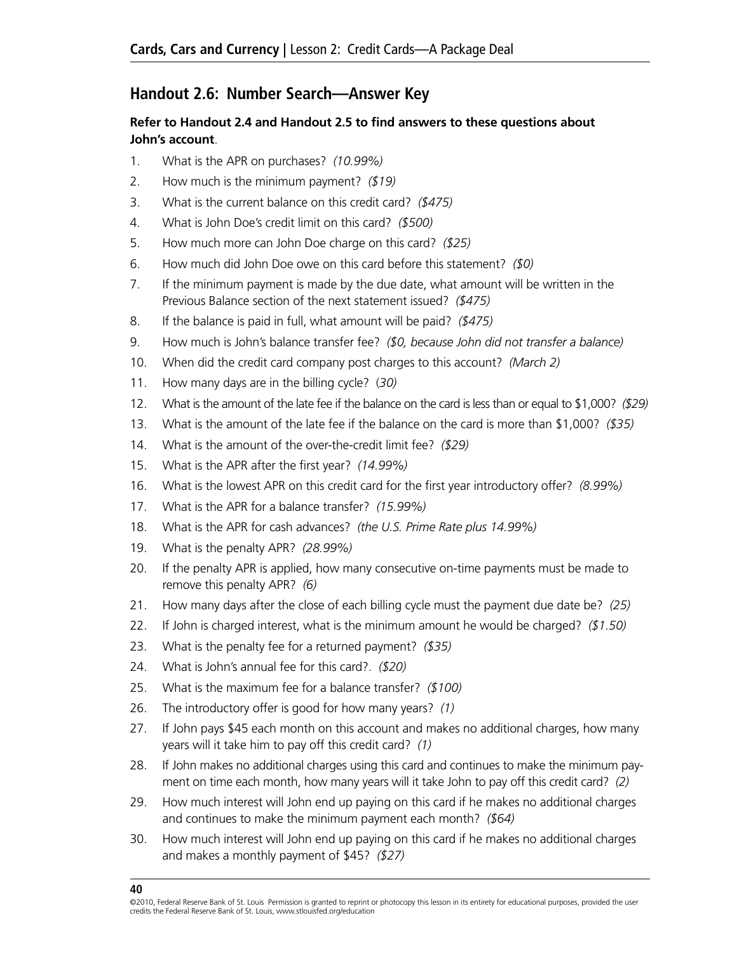## **Handout 2.6: Number Search—Answer Key**

#### **Refer to Handout 2.4 and Handout 2.5 to find answers to these questions about John's account**.

- 1. What is the APR on purchases? *(10.99%)*
- 2. How much is the minimum payment? *(\$19)*
- 3. What is the current balance on this credit card? *(\$475)*
- 4. What is John Doe's credit limit on this card? *(\$500)*
- 5. How much more can John Doe charge on this card? *(\$25)*
- 6. How much did John Doe owe on this card before this statement? *(\$0)*
- 7. If the minimum payment is made by the due date, what amount will be written in the Previous Balance section of the next statement issued? *(\$475)*
- 8. If the balance is paid in full, what amount will be paid? *(\$475)*
- 9. How much is John's balance transfer fee? *(\$0, because John did not transfer a balance)*
- 10. When did the credit card company post charges to this account? *(March 2)*
- 11. How many days are in the billing cycle? (*30)*
- 12. What is the amount of the late fee if the balance on the card is less than or equal to \$1,000? *(\$29)*
- 13. What is the amount of the late fee if the balance on the card is more than \$1,000? *(\$35)*
- 14. What is the amount of the over-the-credit limit fee? *(\$29)*
- 15. What is the APR after the first year? *(14.99%)*
- 16. What is the lowest APR on this credit card for the first year introductory offer? *(8.99%)*
- 17. What is the APR for a balance transfer? *(15.99%)*
- 18. What is the APR for cash advances? *(the U.S. Prime Rate plus 14.99%)*
- 19. What is the penalty APR? *(28.99%)*
- 20. If the penalty APR is applied, how many consecutive on-time payments must be made to remove this penalty APR? *(6)*
- 21. How many days after the close of each billing cycle must the payment due date be? *(25)*
- 22. If John is charged interest, what is the minimum amount he would be charged? *(\$1.50)*
- 23. What is the penalty fee for a returned payment? *(\$35)*
- 24. What is John's annual fee for this card?. *(\$20)*
- 25. What is the maximum fee for a balance transfer? *(\$100)*
- 26. The introductory offer is good for how many years? *(1)*
- 27. If John pays \$45 each month on this account and makes no additional charges, how many years will it take him to pay off this credit card? *(1)*
- 28. If John makes no additional charges using this card and continues to make the minimum payment on time each month, how many years will it take John to pay off this credit card? *(2)*
- 29. How much interest will John end up paying on this card if he makes no additional charges and continues to make the minimum payment each month? *(\$64)*
- 30. How much interest will John end up paying on this card if he makes no additional charges and makes a monthly payment of \$45? *(\$27)*

<sup>©2010,</sup> Federal Reserve Bank of St. Louis Permission is granted to reprint or photocopy this lesson in its entirety for educational purposes, provided the user credits the Federal Reserve Bank of St. Louis, www.stlouisfed.org/education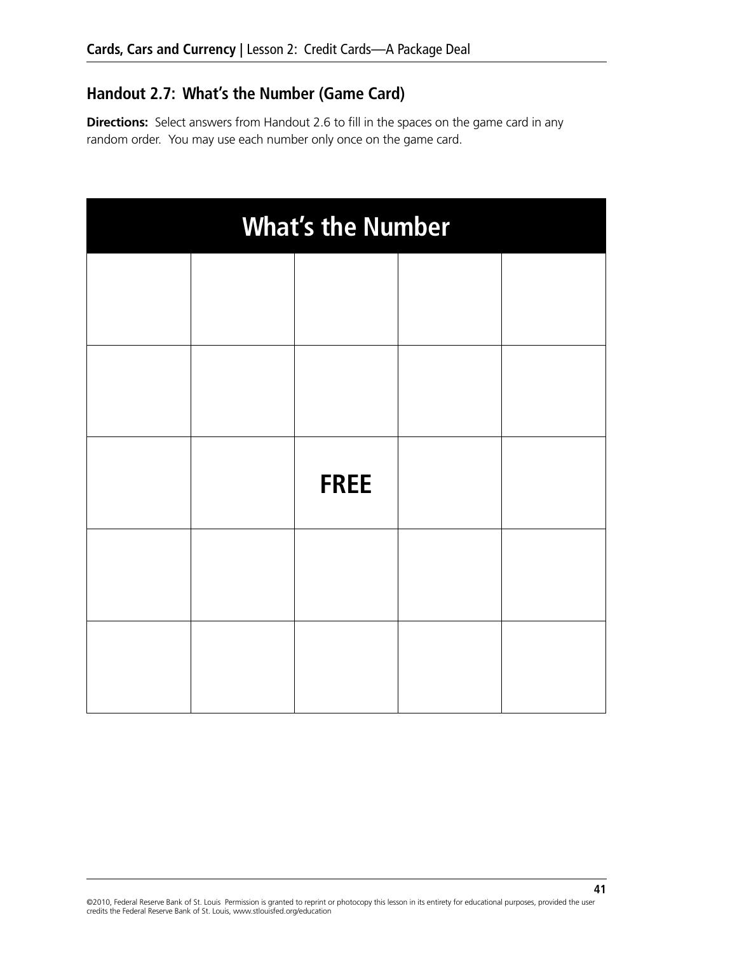## **Handout 2.7: What's the Number (Game Card)**

**Directions:** Select answers from Handout 2.6 to fill in the spaces on the game card in any random order. You may use each number only once on the game card.

| <b>What's the Number</b> |  |             |  |  |  |  |
|--------------------------|--|-------------|--|--|--|--|
|                          |  |             |  |  |  |  |
|                          |  |             |  |  |  |  |
|                          |  |             |  |  |  |  |
|                          |  |             |  |  |  |  |
|                          |  | <b>FREE</b> |  |  |  |  |
|                          |  |             |  |  |  |  |
|                          |  |             |  |  |  |  |

©2010, Federal Reserve Bank of St. Louis Permission is granted to reprint or photocopy this lesson in its entirety for educational purposes, provided the user credits the Federal Reserve Bank of St. Louis, www.stlouisfed.org/education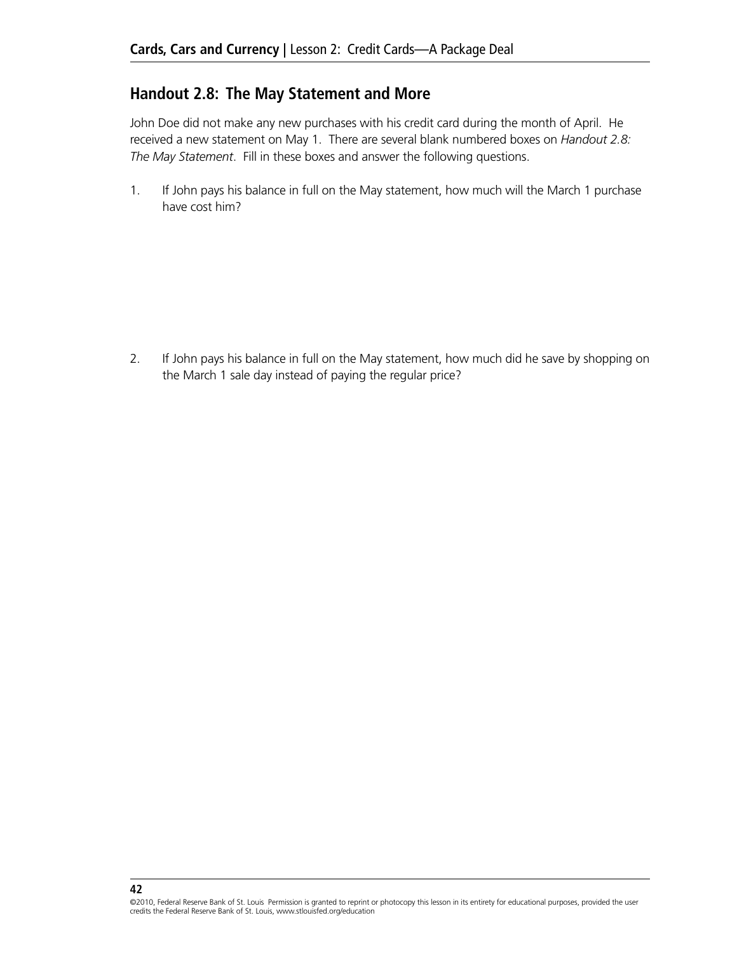## **Handout 2.8: The May Statement and More**

John Doe did not make any new purchases with his credit card during the month of April. He received a new statement on May 1. There are several blank numbered boxes on *Handout 2.8: The May Statement*. Fill in these boxes and answer the following questions.

1. If John pays his balance in full on the May statement, how much will the March 1 purchase have cost him?

2. If John pays his balance in full on the May statement, how much did he save by shopping on the March 1 sale day instead of paying the regular price?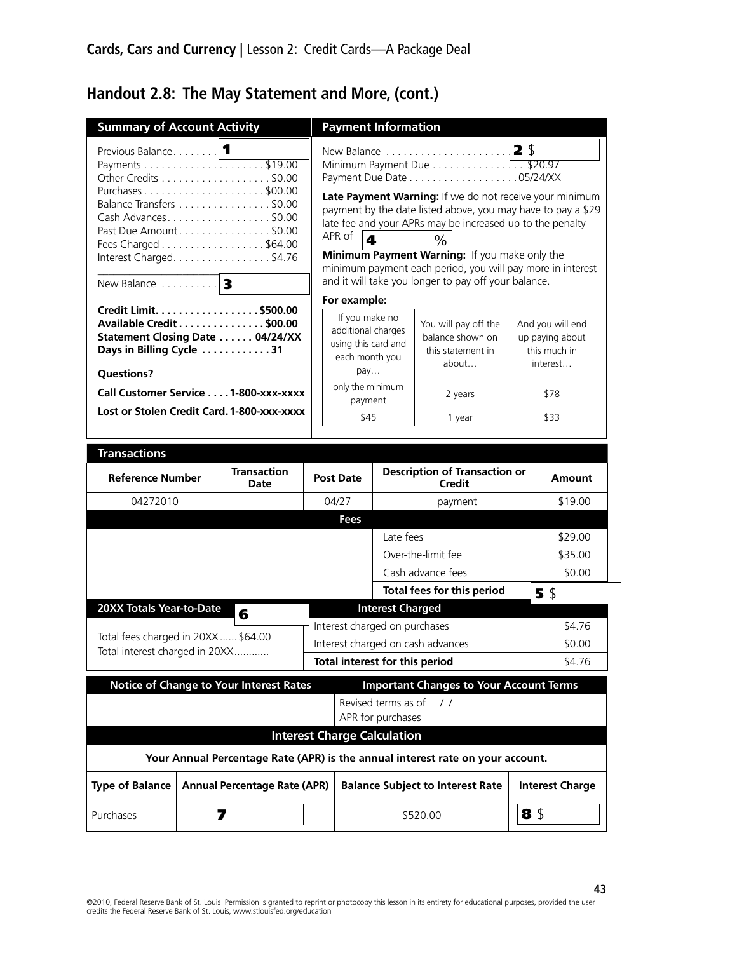# **Handout 2.8: The May Statement and More, (cont.)**

| <b>Summary of Account Activity</b>            |                                                                                                                                                                         |                                                                                                      | <b>Payment Information</b>               |                                                                                                                                                                                                                                                                                                                                                           |                |                                                                 |
|-----------------------------------------------|-------------------------------------------------------------------------------------------------------------------------------------------------------------------------|------------------------------------------------------------------------------------------------------|------------------------------------------|-----------------------------------------------------------------------------------------------------------------------------------------------------------------------------------------------------------------------------------------------------------------------------------------------------------------------------------------------------------|----------------|-----------------------------------------------------------------|
| Previous Balance                              | $\blacksquare$<br>Other Credits \$0.00<br>Balance Transfers \$0.00<br>Cash Advances\$0.00<br>Past Due Amount \$0.00<br>Fees Charged \$64.00<br>Interest Charged. \$4.76 | APR of<br>$\overline{\mathbf{A}}$                                                                    |                                          | New Balance<br>Minimum Payment Due \$20.97<br>Late Payment Warning: If we do not receive your minimum<br>payment by the date listed above, you may have to pay a \$29<br>late fee and your APRs may be increased up to the penalty<br>$\%$<br>Minimum Payment Warning: If you make only the<br>minimum payment each period, you will pay more in interest | 2 <sub>5</sub> |                                                                 |
| New Balance                                   | 3                                                                                                                                                                       |                                                                                                      |                                          | and it will take you longer to pay off your balance.                                                                                                                                                                                                                                                                                                      |                |                                                                 |
| Days in Billing Cycle 31<br><b>Questions?</b> | Credit Limit. \$500.00<br>Available Credit \$00.00<br>Statement Closing Date 04/24/XX                                                                                   | For example:<br>If you make no<br>additional charges<br>using this card and<br>each month you<br>pay |                                          | You will pay off the<br>balance shown on<br>this statement in<br>about                                                                                                                                                                                                                                                                                    |                | And you will end<br>up paying about<br>this much in<br>interest |
|                                               | Call Customer Service 1-800-xxx-xxxx                                                                                                                                    | only the minimum<br>payment                                                                          |                                          | 2 years                                                                                                                                                                                                                                                                                                                                                   |                | \$78                                                            |
|                                               | Lost or Stolen Credit Card. 1-800-XXX-XXXX                                                                                                                              | \$45                                                                                                 |                                          | 1 year                                                                                                                                                                                                                                                                                                                                                    |                | \$33                                                            |
|                                               |                                                                                                                                                                         |                                                                                                      |                                          |                                                                                                                                                                                                                                                                                                                                                           |                |                                                                 |
| <b>Transactions</b>                           |                                                                                                                                                                         |                                                                                                      |                                          |                                                                                                                                                                                                                                                                                                                                                           |                |                                                                 |
| <b>Reference Number</b>                       | <b>Transaction</b><br>Date                                                                                                                                              | <b>Post Date</b>                                                                                     |                                          | <b>Description of Transaction or</b><br>Credit                                                                                                                                                                                                                                                                                                            |                | <b>Amount</b>                                                   |
| 04272010                                      |                                                                                                                                                                         | 04/27                                                                                                |                                          | payment                                                                                                                                                                                                                                                                                                                                                   |                | \$19.00                                                         |
|                                               |                                                                                                                                                                         | Fees                                                                                                 |                                          |                                                                                                                                                                                                                                                                                                                                                           |                |                                                                 |
|                                               |                                                                                                                                                                         |                                                                                                      | Late fees                                |                                                                                                                                                                                                                                                                                                                                                           |                | \$29.00                                                         |
|                                               |                                                                                                                                                                         |                                                                                                      |                                          | Over-the-limit fee                                                                                                                                                                                                                                                                                                                                        |                | \$35.00                                                         |
|                                               |                                                                                                                                                                         |                                                                                                      |                                          | Cash advance fees                                                                                                                                                                                                                                                                                                                                         |                | \$0.00                                                          |
| 20XX Totals Year-to-Date                      |                                                                                                                                                                         |                                                                                                      | <b>Interest Charged</b>                  | Total fees for this period                                                                                                                                                                                                                                                                                                                                |                | 5 \$                                                            |
|                                               | 6                                                                                                                                                                       |                                                                                                      | Interest charged on purchases            |                                                                                                                                                                                                                                                                                                                                                           |                | \$4.76                                                          |
| Total fees charged in 20XX \$64.00            |                                                                                                                                                                         |                                                                                                      |                                          | Interest charged on cash advances                                                                                                                                                                                                                                                                                                                         |                | \$0.00                                                          |
| Total interest charged in 20XX                |                                                                                                                                                                         |                                                                                                      |                                          | Total interest for this period                                                                                                                                                                                                                                                                                                                            |                | \$4.76                                                          |
|                                               | <b>Notice of Change to Your Interest Rates</b>                                                                                                                          |                                                                                                      |                                          | <b>Important Changes to Your Account Terms</b>                                                                                                                                                                                                                                                                                                            |                |                                                                 |
|                                               |                                                                                                                                                                         |                                                                                                      | Revised terms as of<br>APR for purchases | $\frac{1}{2}$                                                                                                                                                                                                                                                                                                                                             |                |                                                                 |
|                                               |                                                                                                                                                                         |                                                                                                      | <b>Interest Charge Calculation</b>       |                                                                                                                                                                                                                                                                                                                                                           |                |                                                                 |
|                                               |                                                                                                                                                                         |                                                                                                      |                                          | Your Annual Percentage Rate (APR) is the annual interest rate on your account.                                                                                                                                                                                                                                                                            |                |                                                                 |
| <b>Type of Balance</b>                        | <b>Annual Percentage Rate (APR)</b>                                                                                                                                     |                                                                                                      |                                          | <b>Balance Subject to Interest Rate</b>                                                                                                                                                                                                                                                                                                                   |                | <b>Interest Charge</b>                                          |
| Purchases                                     | 7                                                                                                                                                                       |                                                                                                      |                                          | \$520.00                                                                                                                                                                                                                                                                                                                                                  | 8\$            |                                                                 |

©2010, Federal Reserve Bank of St. Louis Permission is granted to reprint or photocopy this lesson in its entirety for educational purposes, provided the user<br>credits the Federal Reserve Bank of St. Louis, www.stlouisfed.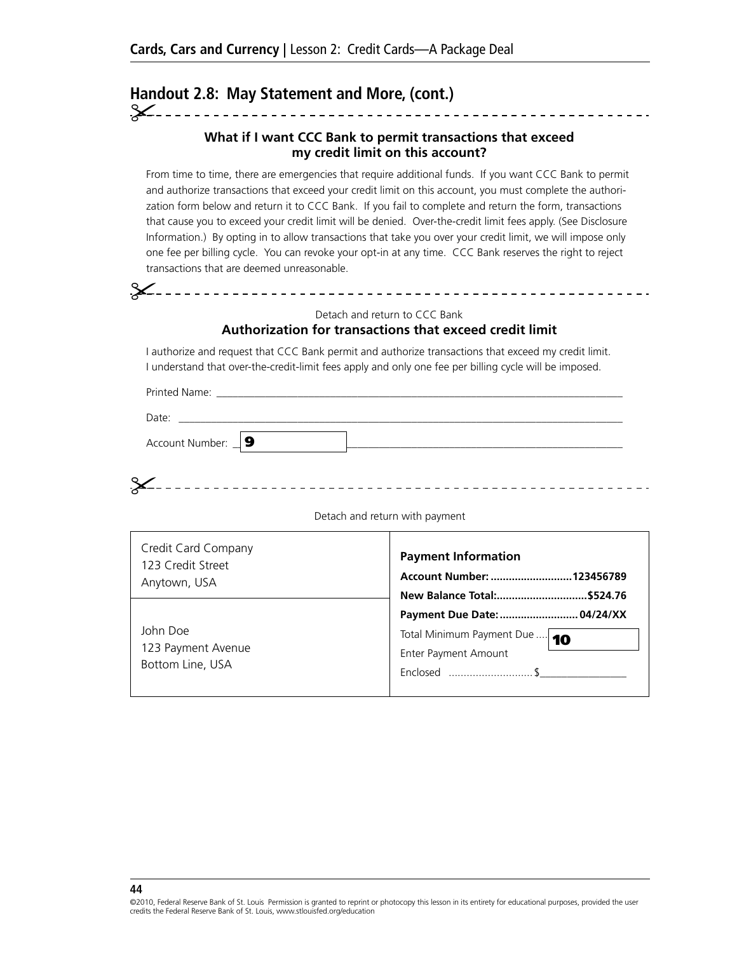# Handout 2.8: May Statement and More, (cont.)

#### **What if I want CCC Bank to permit transactions that exceed my credit limit on this account?**

From time to time, there are emergencies that require additional funds. If you want CCC Bank to permit and authorize transactions that exceed your credit limit on this account, you must complete the authorization form below and return it to CCC Bank. If you fail to complete and return the form, transactions that cause you to exceed your credit limit will be denied. Over-the-credit limit fees apply. (See Disclosure Information.) By opting in to allow transactions that take you over your credit limit, we will impose only one fee per billing cycle. You can revoke your opt-in at any time. CCC Bank reserves the right to reject transactions that are deemed unreasonable.

#### Detach and return to CCC Bank

#### **Authorization for transactions that exceed credit limit**

I authorize and request that CCC Bank permit and authorize transactions that exceed my credit limit. I understand that over-the-credit-limit fees apply and only one fee per billing cycle will be imposed.

Printed Name:

Date: \_\_\_\_\_\_\_\_\_\_\_\_\_\_\_\_\_\_\_\_\_\_\_\_\_\_\_\_\_\_\_\_\_\_\_\_\_\_\_\_\_\_\_\_\_\_\_\_\_\_\_\_\_\_\_\_\_\_\_\_\_\_\_\_\_\_\_\_\_\_\_\_\_\_\_\_\_\_\_\_\_\_

Account Number: \_\_**\_ 9** 

| $\circ$ . |  |  |
|-----------|--|--|

Detach and return with payment

| Credit Card Company                                | <b>Payment Information</b>                                           |
|----------------------------------------------------|----------------------------------------------------------------------|
| 123 Credit Street                                  | Account Number:  123456789                                           |
| Anytown, USA                                       | New Balance Total:\$524.76                                           |
| John Doe<br>123 Payment Avenue<br>Bottom Line, USA | Total Minimum Payment Due  10<br>Enter Payment Amount<br>Enclosed \$ |

#### **44**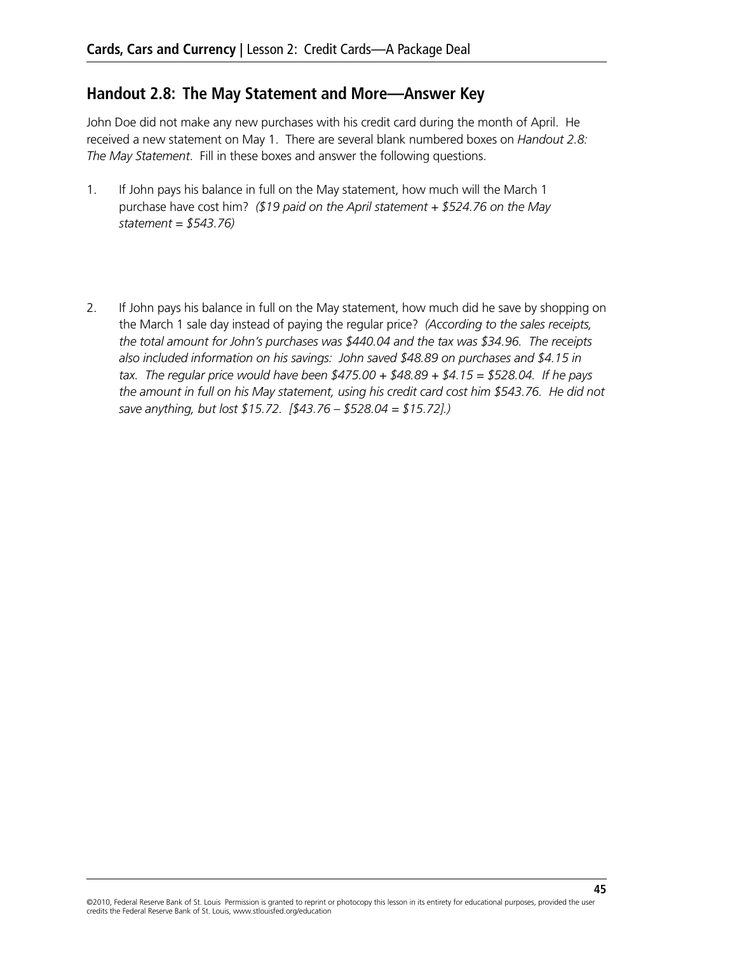## **Handout 2.8: The May Statement and More—Answer Key**

John Doe did not make any new purchases with his credit card during the month of April. He received a new statement on May 1. There are several blank numbered boxes on *Handout 2.8: The May Statement*. Fill in these boxes and answer the following questions.

- 1. If John pays his balance in full on the May statement, how much will the March 1 purchase have cost him? *(\$19 paid on the April statement + \$524.76 on the May statement = \$543.76)*
- 2. If John pays his balance in full on the May statement, how much did he save by shopping on the March 1 sale day instead of paying the regular price? *(According to the sales receipts, the total amount for John's purchases was \$440.04 and the tax was \$34.96. The receipts also included information on his savings: John saved \$48.89 on purchases and \$4.15 in tax. The regular price would have been \$475.00 + \$48.89 + \$4.15 = \$528.04. If he pays the amount in full on his May statement, using his credit card cost him \$543.76. He did not save anything, but lost \$15.72. [\$43.76 – \$528.04 = \$15.72].)*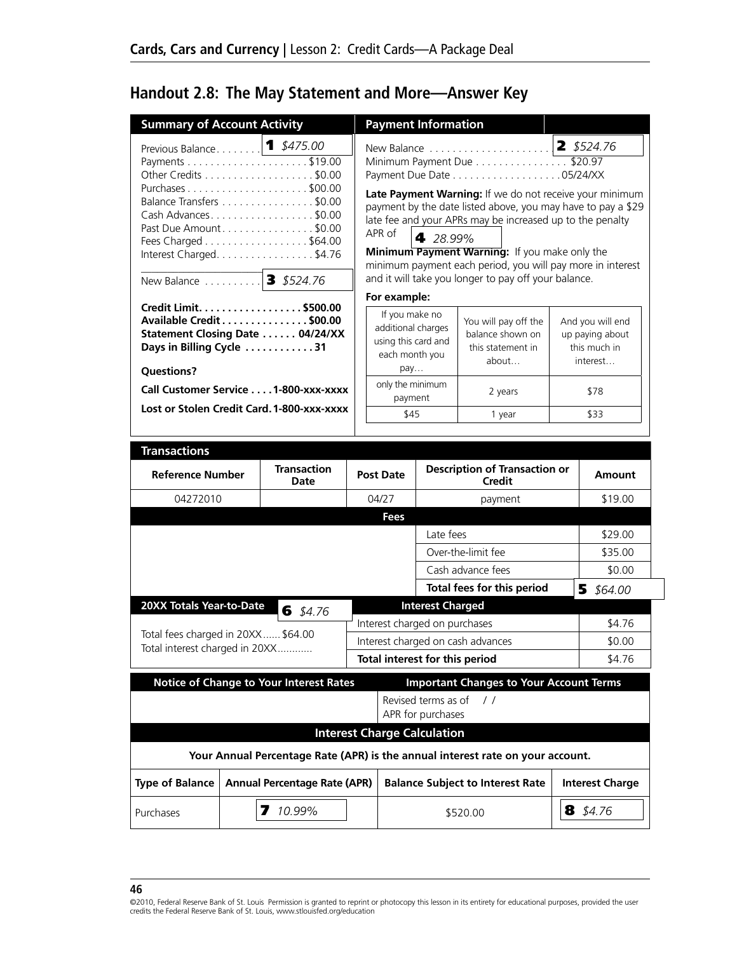# **Handout 2.8: The May Statement and More—Answer Key**

| <b>Summary of Account Activity</b>            |                                            |                                                                                                                                                                  |                                                                                                                          | <b>Payment Information</b>               |                                                                                                                                                                                                                                                                                                                                                                                                                                        |  |                                                                         |
|-----------------------------------------------|--------------------------------------------|------------------------------------------------------------------------------------------------------------------------------------------------------------------|--------------------------------------------------------------------------------------------------------------------------|------------------------------------------|----------------------------------------------------------------------------------------------------------------------------------------------------------------------------------------------------------------------------------------------------------------------------------------------------------------------------------------------------------------------------------------------------------------------------------------|--|-------------------------------------------------------------------------|
| Previous Balance 1 \$475.00<br>New Balance    |                                            | Other Credits \$0.00<br>Balance Transfers \$0.00<br>Cash Advances\$0.00<br>Past Due Amount\$0.00<br>Fees Charged \$64.00<br>Interest Charged. \$4.76<br>\$524.76 | APR of                                                                                                                   | 4 28.99%                                 | New Balance<br>Minimum Payment Due \$20.97<br>Payment Due Date 05/24/XX<br>Late Payment Warning: If we do not receive your minimum<br>payment by the date listed above, you may have to pay a \$29<br>late fee and your APRs may be increased up to the penalty<br>Minimum Payment Warning: If you make only the<br>minimum payment each period, you will pay more in interest<br>and it will take you longer to pay off your balance. |  | $2$ \$524.76                                                            |
| Days in Billing Cycle 31<br><b>Questions?</b> |                                            | Credit Limit. \$500.00<br>Available Credit \$00.00<br>Statement Closing Date  04/24/XX<br>Call Customer Service 1-800-xxx-xxxx                                   | For example:<br>If you make no<br>additional charges<br>using this card and<br>each month you<br>pay<br>only the minimum |                                          | You will pay off the<br>balance shown on<br>this statement in<br>about<br>2 years                                                                                                                                                                                                                                                                                                                                                      |  | And you will end<br>up paying about<br>this much in<br>interest<br>\$78 |
|                                               | Lost or Stolen Credit Card. 1-800-xxx-xxxx |                                                                                                                                                                  | payment<br>\$45<br>1 year                                                                                                |                                          | \$33                                                                                                                                                                                                                                                                                                                                                                                                                                   |  |                                                                         |
| <b>Transactions</b>                           |                                            |                                                                                                                                                                  |                                                                                                                          |                                          |                                                                                                                                                                                                                                                                                                                                                                                                                                        |  |                                                                         |
| <b>Reference Number</b>                       |                                            | <b>Transaction</b><br>Date                                                                                                                                       | <b>Post Date</b>                                                                                                         |                                          | <b>Description of Transaction or</b><br><b>Credit</b>                                                                                                                                                                                                                                                                                                                                                                                  |  | Amount                                                                  |
|                                               |                                            |                                                                                                                                                                  |                                                                                                                          |                                          |                                                                                                                                                                                                                                                                                                                                                                                                                                        |  |                                                                         |
| 04272010                                      |                                            |                                                                                                                                                                  | 04/27                                                                                                                    |                                          | payment                                                                                                                                                                                                                                                                                                                                                                                                                                |  | \$19.00                                                                 |
|                                               |                                            |                                                                                                                                                                  | <b>Fees</b>                                                                                                              |                                          |                                                                                                                                                                                                                                                                                                                                                                                                                                        |  |                                                                         |
|                                               |                                            |                                                                                                                                                                  |                                                                                                                          | Late fees                                |                                                                                                                                                                                                                                                                                                                                                                                                                                        |  | \$29.00                                                                 |
|                                               |                                            |                                                                                                                                                                  |                                                                                                                          |                                          | Over-the-limit fee                                                                                                                                                                                                                                                                                                                                                                                                                     |  | \$35.00                                                                 |
|                                               |                                            |                                                                                                                                                                  |                                                                                                                          |                                          | Cash advance fees                                                                                                                                                                                                                                                                                                                                                                                                                      |  | \$0.00                                                                  |
|                                               |                                            |                                                                                                                                                                  |                                                                                                                          |                                          | Total fees for this period                                                                                                                                                                                                                                                                                                                                                                                                             |  | 55564.00                                                                |
| 20XX Totals Year-to-Date                      |                                            | 6 $$4.76$                                                                                                                                                        |                                                                                                                          | <b>Interest Charged</b>                  |                                                                                                                                                                                                                                                                                                                                                                                                                                        |  |                                                                         |
| Total fees charged in 20XX \$64.00            |                                            |                                                                                                                                                                  |                                                                                                                          | Interest charged on purchases            |                                                                                                                                                                                                                                                                                                                                                                                                                                        |  | \$4.76                                                                  |
| Total interest charged in 20XX                |                                            |                                                                                                                                                                  |                                                                                                                          |                                          | Interest charged on cash advances                                                                                                                                                                                                                                                                                                                                                                                                      |  | \$0.00                                                                  |
|                                               |                                            |                                                                                                                                                                  |                                                                                                                          |                                          | Total interest for this period                                                                                                                                                                                                                                                                                                                                                                                                         |  | \$4.76                                                                  |
|                                               |                                            | <b>Notice of Change to Your Interest Rates</b>                                                                                                                   |                                                                                                                          | Revised terms as of<br>APR for purchases | <b>Important Changes to Your Account Terms</b><br>$\frac{1}{2}$                                                                                                                                                                                                                                                                                                                                                                        |  |                                                                         |
|                                               |                                            |                                                                                                                                                                  |                                                                                                                          |                                          |                                                                                                                                                                                                                                                                                                                                                                                                                                        |  |                                                                         |
|                                               |                                            |                                                                                                                                                                  |                                                                                                                          | <b>Interest Charge Calculation</b>       | Your Annual Percentage Rate (APR) is the annual interest rate on your account.                                                                                                                                                                                                                                                                                                                                                         |  |                                                                         |
| <b>Type of Balance</b>                        |                                            | <b>Annual Percentage Rate (APR)</b>                                                                                                                              |                                                                                                                          |                                          | <b>Balance Subject to Interest Rate</b>                                                                                                                                                                                                                                                                                                                                                                                                |  | <b>Interest Charge</b>                                                  |

**<sup>46</sup>**

<sup>©2010,</sup> Federal Reserve Bank of St. Louis Permission is granted to reprint or photocopy this lesson in its entirety for educational purposes, provided the user credits the Federal Reserve Bank of St. Louis, www.stlouisfed.org/education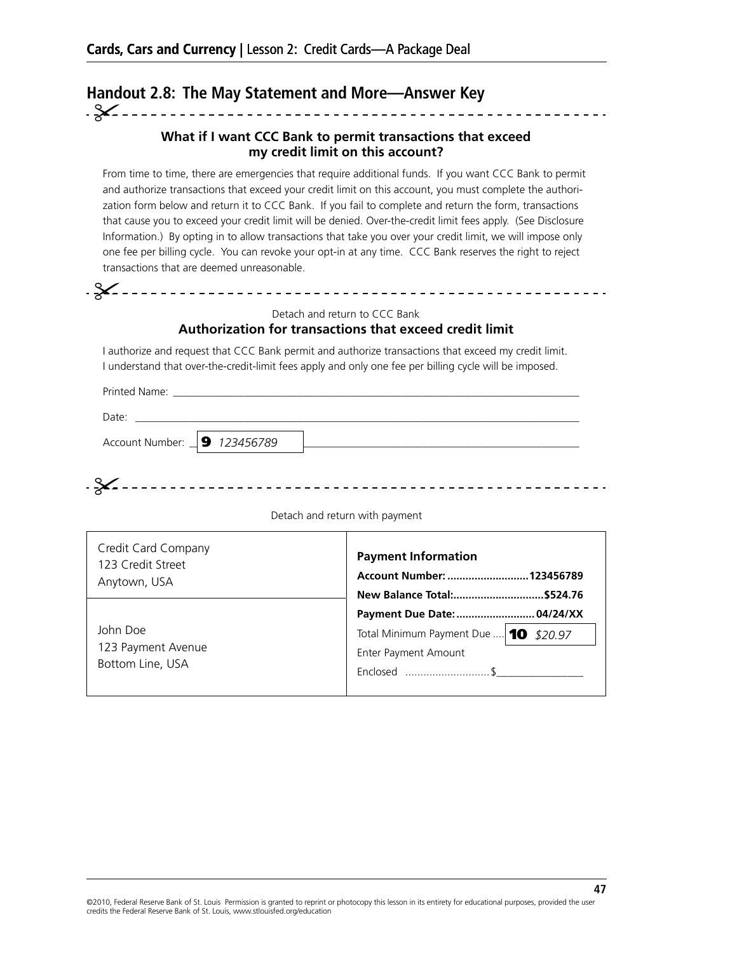# Handout 2.8: The May Statement and More-Answer Key

#### **What if I want CCC Bank to permit transactions that exceed my credit limit on this account?**

From time to time, there are emergencies that require additional funds. If you want CCC Bank to permit and authorize transactions that exceed your credit limit on this account, you must complete the authorization form below and return it to CCC Bank. If you fail to complete and return the form, transactions that cause you to exceed your credit limit will be denied. Over-the-credit limit fees apply. (See Disclosure Information.) By opting in to allow transactions that take you over your credit limit, we will impose only one fee per billing cycle. You can revoke your opt-in at any time. CCC Bank reserves the right to reject transactions that are deemed unreasonable.

Detach and return to CCC Bank

#### **Authorization for transactions that exceed credit limit**

I authorize and request that CCC Bank permit and authorize transactions that exceed my credit limit. I understand that over-the-credit-limit fees apply and only one fee per billing cycle will be imposed.

Printed Name:

Date: \_\_\_\_\_\_\_\_\_\_\_\_\_\_\_\_\_\_\_\_\_\_\_\_\_\_\_\_\_\_\_\_\_\_\_\_\_\_\_\_\_\_\_\_\_\_\_\_\_\_\_\_\_\_\_\_\_\_\_\_\_\_\_\_\_\_\_\_\_\_\_\_\_\_\_\_\_\_\_\_\_\_ Account Number: \_\_\_\_\_\_\_\_\_\_\_\_\_\_\_\_\_\_\_\_\_\_\_\_\_\_\_\_\_\_\_\_\_\_\_\_\_\_\_\_\_\_\_\_\_\_\_\_\_\_\_\_\_\_\_\_\_\_\_\_\_\_\_\_\_\_\_\_\_\_\_\_ 9 *123456789*

Detach and return with payment

| Credit Card Company | <b>Payment Information</b>            |  |  |
|---------------------|---------------------------------------|--|--|
| 123 Credit Street   | Account Number:  123456789            |  |  |
| Anytown, USA        | New Balance Total:\$524.76            |  |  |
|                     |                                       |  |  |
| John Doe            | Total Minimum Payment Due  10 \$20.97 |  |  |
| 123 Payment Avenue  | Enter Payment Amount                  |  |  |
| Bottom Line, USA    | Enclosed \$                           |  |  |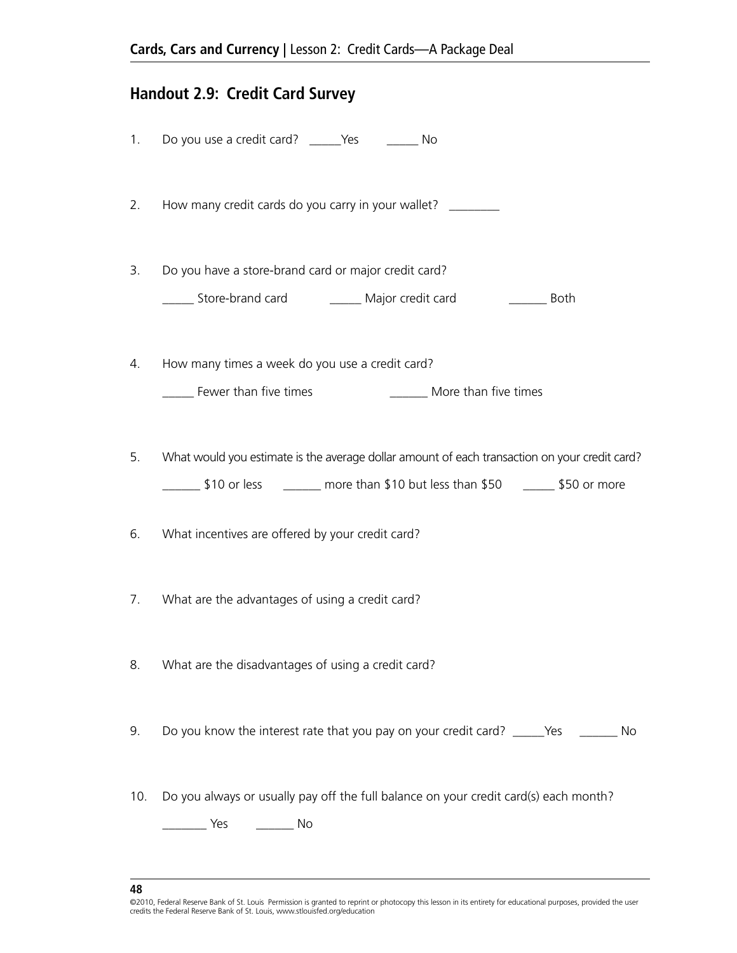# **Handout 2.9: Credit Card Survey**

|     | 1. Do you use a credit card? ______Yes _________ No                                           |
|-----|-----------------------------------------------------------------------------------------------|
| 2.  | How many credit cards do you carry in your wallet? _________                                  |
| 3.  | Do you have a store-brand card or major credit card?                                          |
|     | _______ Store-brand card _____________ Major credit card _____________ Both                   |
| 4.  | How many times a week do you use a credit card?                                               |
|     | Fewer than five times<br>________ More than five times                                        |
| 5.  | What would you estimate is the average dollar amount of each transaction on your credit card? |
|     | 50 or less ________ more than \$10 but less than \$50 ______ \$50 or more                     |
| 6.  | What incentives are offered by your credit card?                                              |
| 7.  | What are the advantages of using a credit card?                                               |
| 8.  | What are the disadvantages of using a credit card?                                            |
| 9.  | Do you know the interest rate that you pay on your credit card? _____Yes _______ No           |
| 10. | Do you always or usually pay off the full balance on your credit card(s) each month?          |

**48**

<sup>©2010,</sup> Federal Reserve Bank of St. Louis Permission is granted to reprint or photocopy this lesson in its entirety for educational purposes, provided the user<br>credits the Federal Reserve Bank of St. Louis, www.stlouisfed.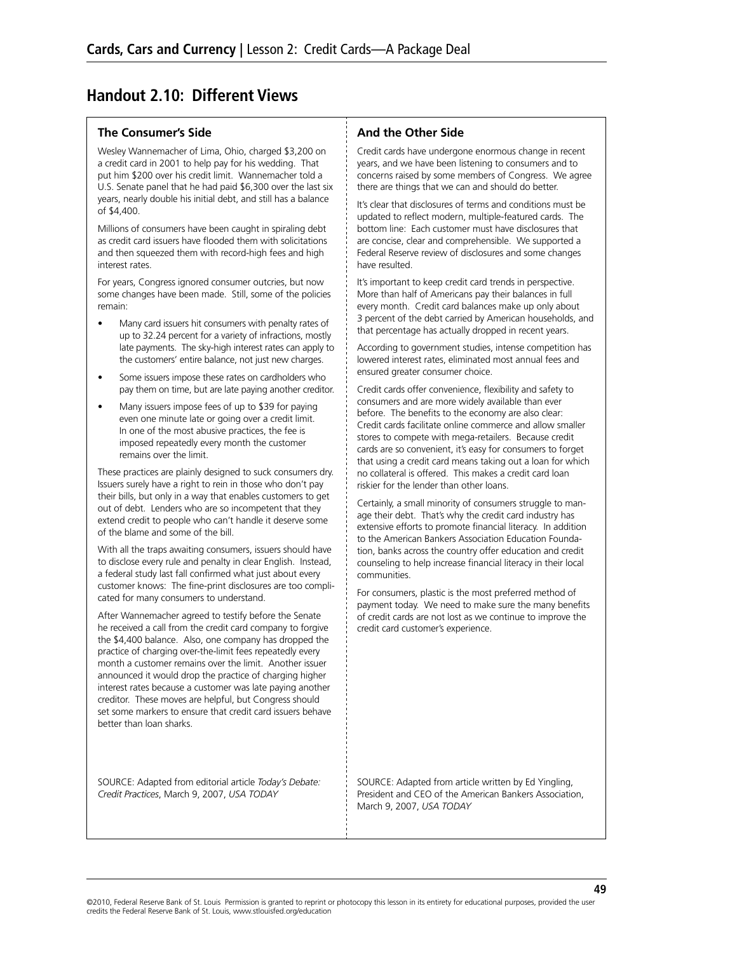## **Handout 2.10: Different Views**

#### **The Consumer's Side**

Wesley Wannemacher of Lima, Ohio, charged \$3,200 on a credit card in 2001 to help pay for his wedding. That put him \$200 over his credit limit. Wannemacher told a U.S. Senate panel that he had paid \$6,300 over the last six years, nearly double his initial debt, and still has a balance of \$4,400.

Millions of consumers have been caught in spiraling debt as credit card issuers have flooded them with solicitations and then squeezed them with record-high fees and high interest rates.

For years, Congress ignored consumer outcries, but now some changes have been made. Still, some of the policies remain:

- Many card issuers hit consumers with penalty rates of up to 32.24 percent for a variety of infractions, mostly late payments. The sky-high interest rates can apply to the customers' entire balance, not just new charges.
- Some issuers impose these rates on cardholders who pay them on time, but are late paying another creditor.
- Many issuers impose fees of up to \$39 for paying even one minute late or going over a credit limit. In one of the most abusive practices, the fee is imposed repeatedly every month the customer remains over the limit.

These practices are plainly designed to suck consumers dry. Issuers surely have a right to rein in those who don't pay their bills, but only in a way that enables customers to get out of debt. Lenders who are so incompetent that they extend credit to people who can't handle it deserve some of the blame and some of the bill.

With all the traps awaiting consumers, issuers should have to disclose every rule and penalty in clear English. Instead, a federal study last fall confirmed what just about every customer knows: The fine-print disclosures are too complicated for many consumers to understand.

After Wannemacher agreed to testify before the Senate he received a call from the credit card company to forgive the \$4,400 balance. Also, one company has dropped the practice of charging over-the-limit fees repeatedly every month a customer remains over the limit. Another issuer announced it would drop the practice of charging higher interest rates because a customer was late paying another creditor. These moves are helpful, but Congress should set some markers to ensure that credit card issuers behave better than loan sharks.

SOURCE: Adapted from editorial article *Today's Debate: Credit Practices*, March 9, 2007, *USA TODAY*

#### **And the Other Side**

Credit cards have undergone enormous change in recent years, and we have been listening to consumers and to concerns raised by some members of Congress. We agree there are things that we can and should do better.

It's clear that disclosures of terms and conditions must be updated to reflect modern, multiple-featured cards. The bottom line: Each customer must have disclosures that are concise, clear and comprehensible. We supported a Federal Reserve review of disclosures and some changes have resulted.

It's important to keep credit card trends in perspective. More than half of Americans pay their balances in full every month. Credit card balances make up only about 3 percent of the debt carried by American households, and that percentage has actually dropped in recent years.

According to government studies, intense competition has lowered interest rates, eliminated most annual fees and ensured greater consumer choice.

Credit cards offer convenience, flexibility and safety to consumers and are more widely available than ever before. The benefits to the economy are also clear: Credit cards facilitate online commerce and allow smaller stores to compete with mega-retailers. Because credit cards are so convenient, it's easy for consumers to forget that using a credit card means taking out a loan for which no collateral is offered. This makes a credit card loan riskier for the lender than other loans.

Certainly, a small minority of consumers struggle to manage their debt. That's why the credit card industry has extensive efforts to promote financial literacy. In addition to the American Bankers Association Education Foundation, banks across the country offer education and credit counseling to help increase financial literacy in their local communities.

For consumers, plastic is the most preferred method of payment today. We need to make sure the many benefits of credit cards are not lost as we continue to improve the credit card customer's experience.

SOURCE: Adapted from article written by Ed Yingling, President and CEO of the American Bankers Association, March 9, 2007, *USA TODAY*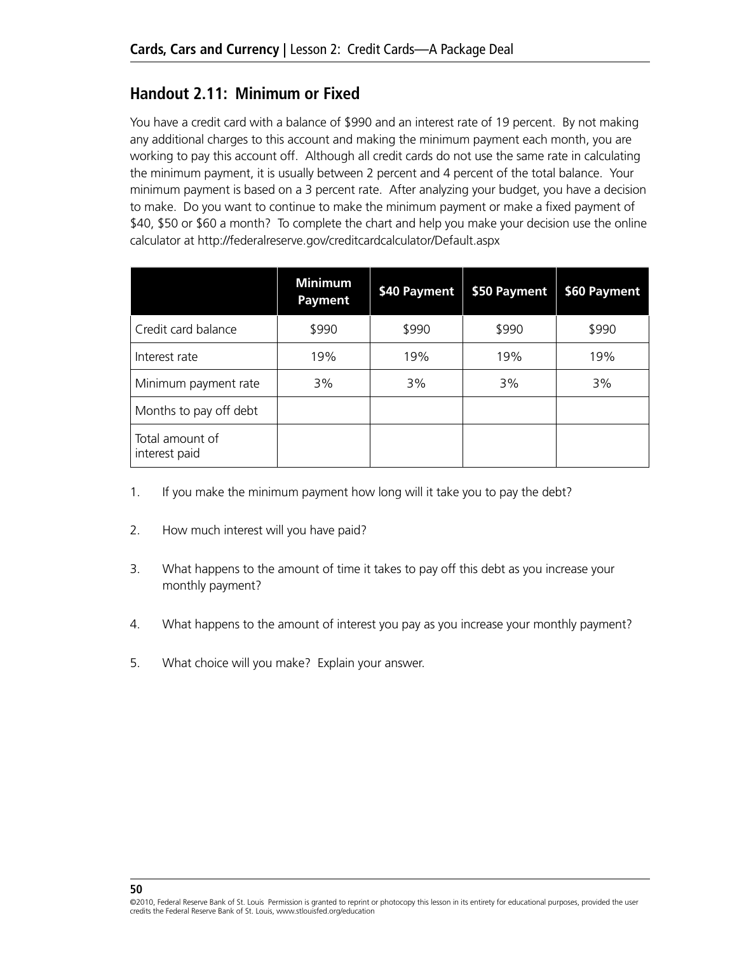## **Handout 2.11: Minimum or Fixed**

You have a credit card with a balance of \$990 and an interest rate of 19 percent. By not making any additional charges to this account and making the minimum payment each month, you are working to pay this account off. Although all credit cards do not use the same rate in calculating the minimum payment, it is usually between 2 percent and 4 percent of the total balance. Your minimum payment is based on a 3 percent rate. After analyzing your budget, you have a decision to make. Do you want to continue to make the minimum payment or make a fixed payment of \$40, \$50 or \$60 a month? To complete the chart and help you make your decision use the online calculator at http://federalreserve.gov/creditcardcalculator/Default.aspx

|                                  | <b>Minimum</b><br><b>Payment</b> | \$40 Payment | \$50 Payment | \$60 Payment |
|----------------------------------|----------------------------------|--------------|--------------|--------------|
| Credit card balance              | \$990                            | \$990        | \$990        | \$990        |
| Interest rate                    | 19%                              | 19%          | 19%          | 19%          |
| Minimum payment rate             | 3%                               | 3%           | 3%           | 3%           |
| Months to pay off debt           |                                  |              |              |              |
| Total amount of<br>interest paid |                                  |              |              |              |

- 1. If you make the minimum payment how long will it take you to pay the debt?
- 2. How much interest will you have paid?
- 3. What happens to the amount of time it takes to pay off this debt as you increase your monthly payment?
- 4. What happens to the amount of interest you pay as you increase your monthly payment?
- 5. What choice will you make? Explain your answer.

<sup>©2010,</sup> Federal Reserve Bank of St. Louis Permission is granted to reprint or photocopy this lesson in its entirety for educational purposes, provided the user credits the Federal Reserve Bank of St. Louis, www.stlouisfed.org/education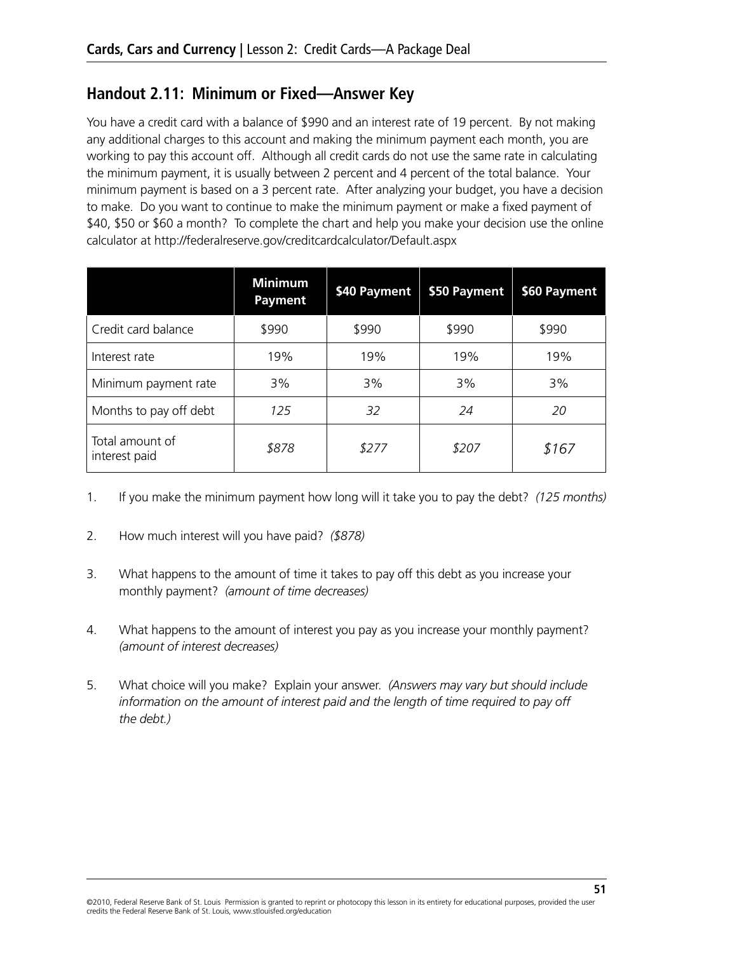## **Handout 2.11: Minimum or Fixed—Answer Key**

You have a credit card with a balance of \$990 and an interest rate of 19 percent. By not making any additional charges to this account and making the minimum payment each month, you are working to pay this account off. Although all credit cards do not use the same rate in calculating the minimum payment, it is usually between 2 percent and 4 percent of the total balance. Your minimum payment is based on a 3 percent rate. After analyzing your budget, you have a decision to make. Do you want to continue to make the minimum payment or make a fixed payment of \$40, \$50 or \$60 a month? To complete the chart and help you make your decision use the online calculator at http://federalreserve.gov/creditcardcalculator/Default.aspx

|                                  | <b>Minimum</b><br>Payment | \$40 Payment | \$50 Payment | \$60 Payment |
|----------------------------------|---------------------------|--------------|--------------|--------------|
| Credit card balance              | \$990                     | \$990        | \$990        | \$990        |
| Interest rate                    | 19%                       | 19%          | 19%          | 19%          |
| Minimum payment rate             | 3%                        | 3%           | 3%           | 3%           |
| Months to pay off debt           | 125                       | 32           | 24           | 20           |
| Total amount of<br>interest paid | \$878                     | \$277        | \$207        | \$167        |

- 1. If you make the minimum payment how long will it take you to pay the debt? *(125 months)*
- 2. How much interest will you have paid? *(\$878)*
- 3. What happens to the amount of time it takes to pay off this debt as you increase your monthly payment? *(amount of time decreases)*
- 4. What happens to the amount of interest you pay as you increase your monthly payment? *(amount of interest decreases)*
- 5. What choice will you make? Explain your answer. *(Answers may vary but should include information on the amount of interest paid and the length of time required to pay off the debt.)*